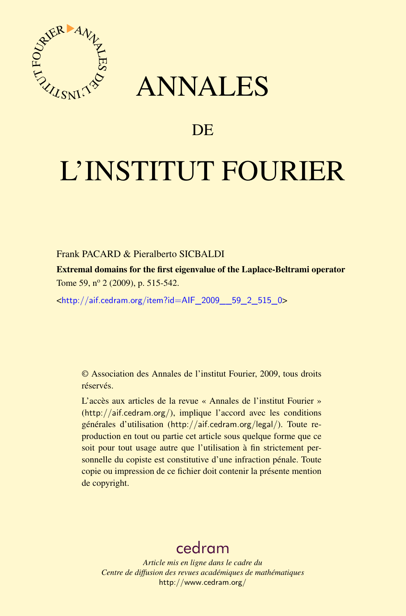

## ANNALES

## **DE**

# L'INSTITUT FOURIER

#### Frank PACARD & Pieralberto SICBALDI

Extremal domains for the first eigenvalue of the Laplace-Beltrami operator Tome 59, n<sup>o</sup> 2 (2009), p. 515-542.

<[http://aif.cedram.org/item?id=AIF\\_2009\\_\\_59\\_2\\_515\\_0](http://aif.cedram.org/item?id=AIF_2009__59_2_515_0)>

© Association des Annales de l'institut Fourier, 2009, tous droits réservés.

L'accès aux articles de la revue « Annales de l'institut Fourier » (<http://aif.cedram.org/>), implique l'accord avec les conditions générales d'utilisation (<http://aif.cedram.org/legal/>). Toute reproduction en tout ou partie cet article sous quelque forme que ce soit pour tout usage autre que l'utilisation à fin strictement personnelle du copiste est constitutive d'une infraction pénale. Toute copie ou impression de ce fichier doit contenir la présente mention de copyright.

## [cedram](http://www.cedram.org/)

*Article mis en ligne dans le cadre du Centre de diffusion des revues académiques de mathématiques* <http://www.cedram.org/>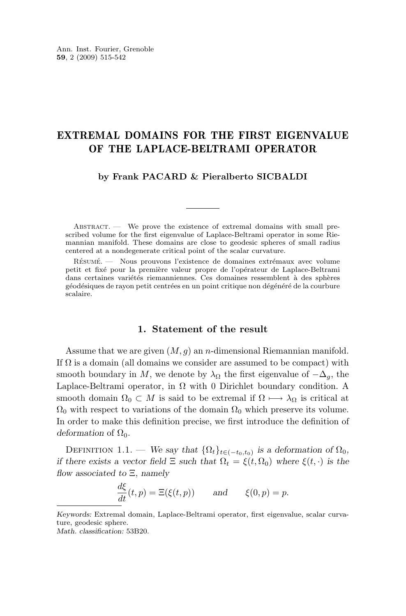### EXTREMAL DOMAINS FOR THE FIRST EIGENVALUE OF THE LAPLACE-BELTRAMI OPERATOR

**by Frank PACARD & Pieralberto SICBALDI**

 $ABSTRACT.$  We prove the existence of extremal domains with small prescribed volume for the first eigenvalue of Laplace-Beltrami operator in some Riemannian manifold. These domains are close to geodesic spheres of small radius centered at a nondegenerate critical point of the scalar curvature.

Résumé. — Nous prouvons l'existence de domaines extrémaux avec volume petit et fixé pour la première valeur propre de l'opérateur de Laplace-Beltrami dans certaines variétés riemanniennes. Ces domaines ressemblent à des sphères géodésiques de rayon petit centrées en un point critique non dégénéré de la courbure scalaire.

#### **1. Statement of the result**

Assume that we are given  $(M, g)$  an *n*-dimensional Riemannian manifold. If  $\Omega$  is a domain (all domains we consider are assumed to be compact) with smooth boundary in M, we denote by  $\lambda_{\Omega}$  the first eigenvalue of  $-\Delta_{q}$ , the Laplace-Beltrami operator, in  $\Omega$  with 0 Dirichlet boundary condition. A smooth domain  $\Omega_0 \subset M$  is said to be extremal if  $\Omega \mapsto \lambda_{\Omega}$  is critical at  $\Omega_0$  with respect to variations of the domain  $\Omega_0$  which preserve its volume. In order to make this definition precise, we first introduce the definition of  $deformation$  of  $\Omega_0$ .

DEFINITION 1.1. — *We say that*  $\{\Omega_t\}_{t\in(-t_0,t_0)}$  *is a deformation of*  $\Omega_0$ *, if there exists a vector field*  $\Xi$  *such that*  $\Omega_t = \xi(t, \Omega_0)$  *where*  $\xi(t, \cdot)$  *is the flow associated to* Ξ*, namely*

 $\frac{d\xi}{dt}(t, p) = \Xi(\xi(t, p))$  and  $\xi(0, p) = p$ .

*Keywords:* Extremal domain, Laplace-Beltrami operator, first eigenvalue, scalar curvature, geodesic sphere.

*Math. classification:* 53B20.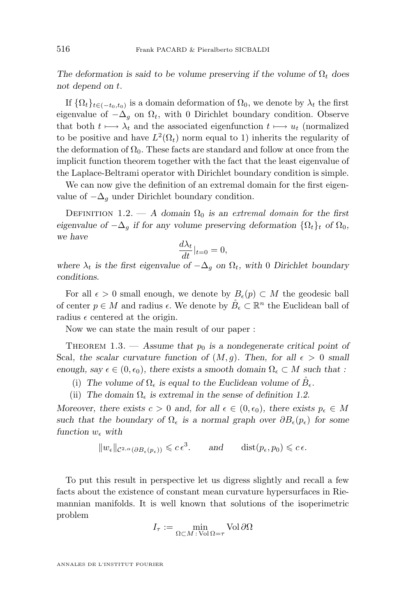<span id="page-2-0"></span>*The deformation is said to be volume preserving if the volume of*  $\Omega_t$  *does not depend on* t*.*

If  $\{\Omega_t\}_{t\in(-t_0,t_0)}$  is a domain deformation of  $\Omega_0$ , we denote by  $\lambda_t$  the first eigenvalue of  $-\Delta_q$  on  $\Omega_t$ , with 0 Dirichlet boundary condition. Observe that both  $t \mapsto \lambda_t$  and the associated eigenfunction  $t \mapsto u_t$  (normalized to be positive and have  $L^2(\Omega_t)$  norm equal to 1) inherits the regularity of the deformation of  $\Omega_0$ . These facts are standard and follow at once from the implicit function theorem together with the fact that the least eigenvalue of the Laplace-Beltrami operator with Dirichlet boundary condition is simple.

We can now give the definition of an extremal domain for the first eigenvalue of  $-\Delta_q$  under Dirichlet boundary condition.

DEFINITION 1.2. — A domain  $\Omega_0$  is an extremal domain for the first *eigenvalue of*  $-\Delta_q$  *if for any volume preserving deformation*  $\{\Omega_t\}_t$  *of*  $\Omega_0$ *, we have*

$$
\frac{d\lambda_t}{dt}|_{t=0} = 0,
$$

*where*  $\lambda_t$  *is the first eigenvalue of*  $-\Delta_g$  *on*  $\Omega_t$ *, with* 0 *Dirichlet boundary conditions.*

For all  $\epsilon > 0$  small enough, we denote by  $B_{\epsilon}(p) \subset M$  the geodesic ball of center  $p \in M$  and radius  $\epsilon$ . We denote by  $\overset{\circ}{B}_{\epsilon} \subset \mathbb{R}^{n}$  the Euclidean ball of radius  $\epsilon$  centered at the origin.

Now we can state the main result of our paper :

THEOREM 1.3. — Assume that  $p_0$  is a nondegenerate critical point of Scal, the scalar curvature function of  $(M, g)$ . Then, for all  $\epsilon > 0$  small *enough, say*  $\epsilon \in (0, \epsilon_0)$ *, there exists a smooth domain*  $\Omega_{\epsilon} \subset M$  *such that :* 

(i) The volume of  $\Omega_{\epsilon}$  is equal to the Euclidean volume of  $B_{\epsilon}$ .

(ii) The domain  $\Omega_{\epsilon}$  is extremal in the sense of definition 1.2.

*Moreover, there exists*  $c > 0$  *and, for all*  $\epsilon \in (0, \epsilon_0)$ *, there exists*  $p_{\epsilon} \in M$ such that the boundary of  $\Omega_{\epsilon}$  is a normal graph over  $\partial B_{\epsilon}(p_{\epsilon})$  for some *function*  $w_{\epsilon}$  with

 $\|w_{\epsilon}\|_{\mathcal{C}^{2,\alpha}(\partial B_{\epsilon}(p_{\epsilon}))} \leqslant c \epsilon^{3}.$  *and*  $\text{dist}(p_{\epsilon}, p_{0}) \leqslant c \epsilon.$ 

To put this result in perspective let us digress slightly and recall a few facts about the existence of constant mean curvature hypersurfaces in Riemannian manifolds. It is well known that solutions of the isoperimetric problem

$$
I_{\tau} := \min_{\Omega \subset M \,:\, \text{Vol}\,\Omega = \tau} \text{Vol}\,\partial\Omega
$$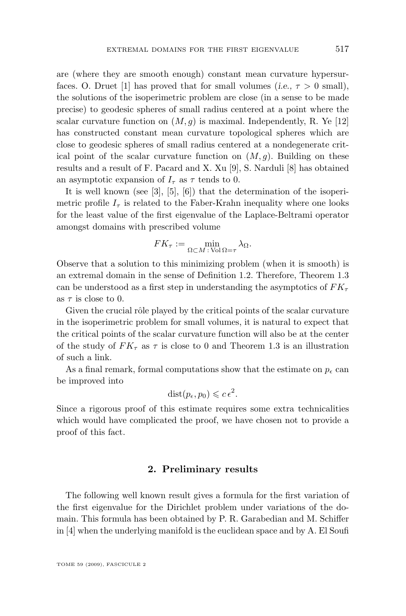are (where they are smooth enough) constant mean curvature hypersur-faces. O. Druet [\[1\]](#page-27-0) has proved that for small volumes (*i.e.*,  $\tau > 0$  small), the solutions of the isoperimetric problem are close (in a sense to be made precise) to geodesic spheres of small radius centered at a point where the scalar curvature function on  $(M, g)$  is maximal. Independently, R. Ye [\[12\]](#page-27-0) has constructed constant mean curvature topological spheres which are close to geodesic spheres of small radius centered at a nondegenerate critical point of the scalar curvature function on  $(M, q)$ . Building on these results and a result of F. Pacard and X. Xu [\[9\]](#page-27-0), S. Narduli [\[8\]](#page-27-0) has obtained

It is well known (see [\[3\]](#page-27-0), [\[5\]](#page-27-0), [\[6\]](#page-27-0)) that the determination of the isoperimetric profile  $I<sub>\tau</sub>$  is related to the Faber-Krahn inequality where one looks for the least value of the first eigenvalue of the Laplace-Beltrami operator amongst domains with prescribed volume

an asymptotic expansion of  $I_{\tau}$  as  $\tau$  tends to 0.

$$
FK_{\tau} := \min_{\Omega \subset M \,:\, \text{Vol}\,\Omega = \tau} \lambda_{\Omega}.
$$

Observe that a solution to this minimizing problem (when it is smooth) is an extremal domain in the sense of Definition [1.2.](#page-2-0) Therefore, Theorem [1.3](#page-2-0) can be understood as a first step in understanding the asymptotics of  $FK_{\tau}$ as  $\tau$  is close to 0.

Given the crucial rôle played by the critical points of the scalar curvature in the isoperimetric problem for small volumes, it is natural to expect that the critical points of the scalar curvature function will also be at the center of the study of  $FK_\tau$  as  $\tau$  is close to 0 and Theorem [1.3](#page-2-0) is an illustration of such a link.

As a final remark, formal computations show that the estimate on  $p_{\epsilon}$  can be improved into

$$
dist(p_{\epsilon}, p_0) \leqslant c \epsilon^2.
$$

Since a rigorous proof of this estimate requires some extra technicalities which would have complicated the proof, we have chosen not to provide a proof of this fact.

#### **2. Preliminary results**

The following well known result gives a formula for the first variation of the first eigenvalue for the Dirichlet problem under variations of the domain. This formula has been obtained by P. R. Garabedian and M. Schiffer in [\[4\]](#page-27-0) when the underlying manifold is the euclidean space and by A. El Soufi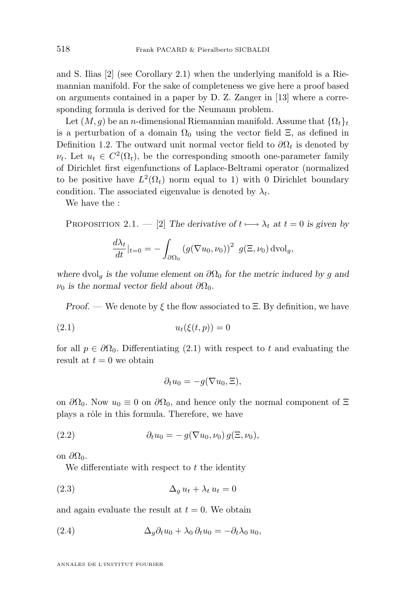<span id="page-4-0"></span>and S. Ilias [\[2\]](#page-27-0) (see Corollary 2.1) when the underlying manifold is a Riemannian manifold. For the sake of completeness we give here a proof based on arguments contained in a paper by D. Z. Zanger in [\[13\]](#page-28-0) where a corresponding formula is derived for the Neumann problem.

Let  $(M, g)$  be an *n*-dimensional Riemannian manifold. Assume that  $\{\Omega_t\}_t$ is a perturbation of a domain  $\Omega_0$  using the vector field  $\Xi$ , as defined in Definition [1.2.](#page-2-0) The outward unit normal vector field to  $\partial\Omega_t$  is denoted by  $\nu_t$ . Let  $u_t \in C^2(\Omega_t)$ , be the corresponding smooth one-parameter family of Dirichlet first eigenfunctions of Laplace-Beltrami operator (normalized to be positive have  $L^2(\Omega_t)$  norm equal to 1) with 0 Dirichlet boundary condition. The associated eigenvalue is denoted by  $\lambda_t$ .

We have the :

PROPOSITION 2.1. — [\[2\]](#page-27-0) The derivative of  $t \mapsto \lambda_t$  at  $t = 0$  is given by

$$
\frac{d\lambda_t}{dt}|_{t=0} = -\int_{\partial\Omega_0} \left(g(\nabla u_0, \nu_0)\right)^2 \ g(\Xi, \nu_0) \mathrm{dvol}_g,
$$

*where* dvol<sub>a</sub> is the volume element on  $\partial\Omega_0$  for the metric induced by g and  $\nu_0$  *is the normal vector field about*  $\partial\Omega_0$ *.* 

*Proof. —* We denote by ξ the flow associated to Ξ. By definition, we have

$$
(2.1) \qquad \qquad u_t(\xi(t,p)) = 0
$$

for all  $p \in \partial \Omega_0$ . Differentiating (2.1) with respect to t and evaluating the result at  $t = 0$  we obtain

$$
\partial_t u_0 = -g(\nabla u_0, \Xi),
$$

on  $\partial\Omega_0$ . Now  $u_0 \equiv 0$  on  $\partial\Omega_0$ , and hence only the normal component of  $\Xi$ plays a rôle in this formula. Therefore, we have

(2.2) 
$$
\partial_t u_0 = - g(\nabla u_0, \nu_0) g(\Xi, \nu_0),
$$

on  $\partial\Omega_0$ .

We differentiate with respect to  $t$  the identity

$$
(2.3) \qquad \qquad \Delta_g u_t + \lambda_t u_t = 0
$$

and again evaluate the result at  $t = 0$ . We obtain

(2.4) 
$$
\Delta_g \partial_t u_0 + \lambda_0 \partial_t u_0 = -\partial_t \lambda_0 u_0,
$$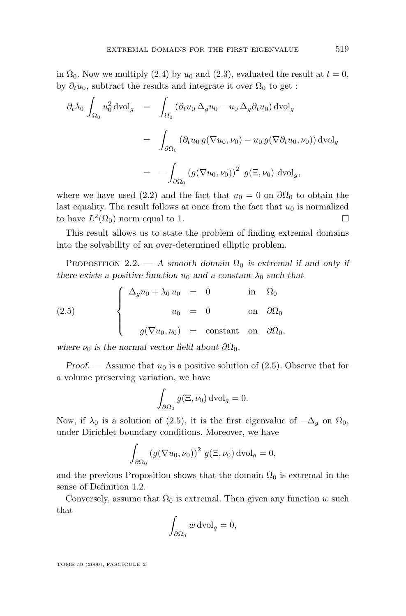<span id="page-5-0"></span>in  $\Omega_0$ . Now we multiply [\(2.4\)](#page-4-0) by  $u_0$  and [\(2.3\)](#page-4-0), evaluated the result at  $t = 0$ , by  $\partial_t u_0$ , subtract the results and integrate it over  $\Omega_0$  to get :

$$
\partial_t \lambda_0 \int_{\Omega_0} u_0^2 \, \text{dvol}_g = \int_{\Omega_0} (\partial_t u_0 \, \Delta_g u_0 - u_0 \, \Delta_g \partial_t u_0) \, \text{dvol}_g
$$

$$
= \int_{\partial \Omega_0} (\partial_t u_0 \, g(\nabla u_0, \nu_0) - u_0 \, g(\nabla \partial_t u_0, \nu_0)) \, \text{dvol}_g
$$

$$
= - \int_{\partial \Omega_0} (g(\nabla u_0, \nu_0))^2 \, g(\Xi, \nu_0) \, \text{dvol}_g,
$$

where we have used [\(2.2\)](#page-4-0) and the fact that  $u_0 = 0$  on  $\partial\Omega_0$  to obtain the last equality. The result follows at once from the fact that  $u_0$  is normalized to have  $L^2(\Omega_0)$  norm equal to 1.

This result allows us to state the problem of finding extremal domains into the solvability of an over-determined elliptic problem.

PROPOSITION 2.2. — A smooth domain  $\Omega_0$  is extremal if and only if *there exists a positive function*  $u_0$  *and a constant*  $\lambda_0$  *such that* 

(2.5) 
$$
\begin{cases} \Delta_g u_0 + \lambda_0 u_0 = 0 & \text{in } \Omega_0 \\ u_0 = 0 & \text{on } \partial \Omega_0 \\ g(\nabla u_0, \nu_0) = \text{constant} & \text{on } \partial \Omega_0, \end{cases}
$$

*where*  $\nu_0$  *is the normal vector field about*  $\partial\Omega_0$ *.* 

*Proof.* — Assume that  $u_0$  is a positive solution of  $(2.5)$ . Observe that for a volume preserving variation, we have

$$
\int_{\partial\Omega_0} g(\Xi, \nu_0) \,\mathrm{dvol}_g = 0.
$$

Now, if  $\lambda_0$  is a solution of (2.5), it is the first eigenvalue of  $-\Delta_q$  on  $\Omega_0$ , under Dirichlet boundary conditions. Moreover, we have

$$
\int_{\partial\Omega_0} \left( g(\nabla u_0, \nu_0) \right)^2 \, g(\Xi, \nu_0) \, \mathrm{dvol}_g = 0,
$$

and the previous Proposition shows that the domain  $\Omega_0$  is extremal in the sense of Definition [1.2.](#page-2-0)

Conversely, assume that  $\Omega_0$  is extremal. Then given any function w such that

$$
\int_{\partial\Omega_0} w \, \mathrm{dvol}_g = 0,
$$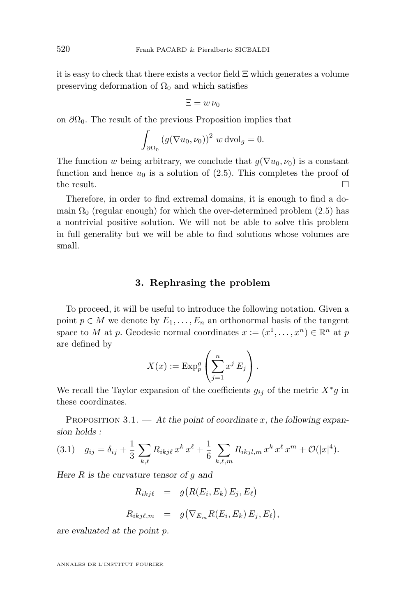<span id="page-6-0"></span>it is easy to check that there exists a vector field  $\Xi$  which generates a volume preserving deformation of  $\Omega_0$  and which satisfies

$$
\Xi = w \, \nu_0
$$

on  $\partial\Omega_0$ . The result of the previous Proposition implies that

$$
\int_{\partial\Omega_0} \left(g(\nabla u_0, \nu_0)\right)^2 \, w \, \text{dvol}_g = 0.
$$

The function w being arbitrary, we conclude that  $g(\nabla u_0, \nu_0)$  is a constant function and hence  $u_0$  is a solution of [\(2.5\)](#page-5-0). This completes the proof of the result.  $\Box$ 

Therefore, in order to find extremal domains, it is enough to find a domain  $\Omega_0$  (regular enough) for which the over-determined problem [\(2.5\)](#page-5-0) has a nontrivial positive solution. We will not be able to solve this problem in full generality but we will be able to find solutions whose volumes are small.

#### **3. Rephrasing the problem**

To proceed, it will be useful to introduce the following notation. Given a point  $p \in M$  we denote by  $E_1, \ldots, E_n$  an orthonormal basis of the tangent space to M at p. Geodesic normal coordinates  $x := (x^1, \dots, x^n) \in \mathbb{R}^n$  at p are defined by

$$
X(x) := \mathrm{Exp}_p^g \left( \sum_{j=1}^n x^j E_j \right).
$$

We recall the Taylor expansion of the coefficients  $g_{ij}$  of the metric  $X^*g$  in these coordinates.

PROPOSITION 3.1. — At the point of coordinate x, the following expan*sion holds :*

$$
(3.1) \quad g_{ij} = \delta_{ij} + \frac{1}{3} \sum_{k,\ell} R_{ikj\ell} x^k x^{\ell} + \frac{1}{6} \sum_{k,\ell,m} R_{ikjl,m} x^k x^{\ell} x^m + \mathcal{O}(|x|^4).
$$

*Here* R *is the curvature tensor of* g *and*

- $R_{ikj\ell} = g(R(E_i, E_k) E_j, E_\ell)$
- $R_{ikj\ell,m}$  =  $g(\nabla_{E_m} R(E_i, E_k) E_j, E_\ell),$

*are evaluated at the point* p*.*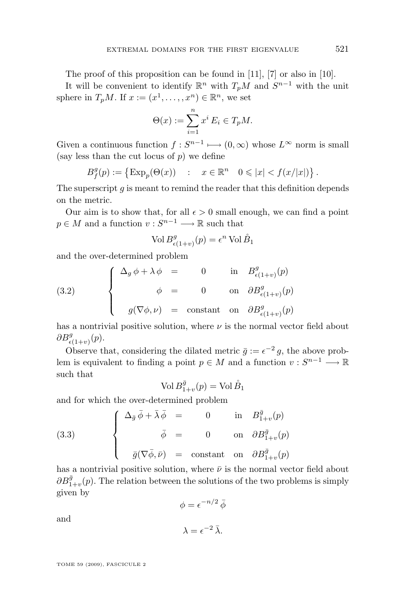<span id="page-7-0"></span>The proof of this proposition can be found in [\[11\]](#page-27-0), [\[7\]](#page-27-0) or also in [\[10\]](#page-27-0).

It will be convenient to identify  $\mathbb{R}^n$  with  $T_pM$  and  $S^{n-1}$  with the unit sphere in  $T_pM$ . If  $x := (x^1, \ldots, x^n) \in \mathbb{R}^n$ , we set

$$
\Theta(x) := \sum_{i=1}^n x^i E_i \in T_p M.
$$

Given a continuous function  $f: S^{n-1} \longmapsto (0, \infty)$  whose  $L^{\infty}$  norm is small (say less than the cut locus of  $p$ ) we define

$$
B_f^g(p) := \left\{ \operatorname{Exp}_p(\Theta(x)) \quad : \quad x \in \mathbb{R}^n \quad 0 \leq |x| < f(x/|x|) \right\}.
$$

The superscript  $g$  is meant to remind the reader that this definition depends on the metric.

Our aim is to show that, for all  $\epsilon > 0$  small enough, we can find a point  $p \in M$  and a function  $v: S^{n-1} \longrightarrow \mathbb{R}$  such that

$$
\text{Vol}\,B^g_{\epsilon(1+v)}(p) = \epsilon^n \,\text{Vol}\,\mathring{B}_1
$$

and the over-determined problem

(3.2) 
$$
\begin{cases} \Delta_g \phi + \lambda \phi = 0 & \text{in } B^g_{\epsilon(1+v)}(p) \\ \phi = 0 & \text{on } \partial B^g_{\epsilon(1+v)}(p) \\ g(\nabla \phi, \nu) = \text{constant} & \text{on } \partial B^g_{\epsilon(1+v)}(p) \end{cases}
$$

has a nontrivial positive solution, where  $\nu$  is the normal vector field about  $\partial B^g_{\epsilon(1+v)}(p).$ 

Observe that, considering the dilated metric  $\bar{g} := \epsilon^{-2} g$ , the above problem is equivalent to finding a point  $p \in M$  and a function  $v : S^{n-1} \longrightarrow \mathbb{R}$ such that

$$
\text{Vol } B^{\bar{g}}_{1+v}(p) = \text{Vol } \mathring{B}_1
$$

and for which the over-determined problem

(3.3) 
$$
\begin{cases} \Delta_{\bar{g}} \bar{\phi} + \bar{\lambda} \bar{\phi} = 0 & \text{in } B_{1+v}^{\bar{g}}(p) \\ \bar{\phi} = 0 & \text{on } \partial B_{1+v}^{\bar{g}}(p) \\ \bar{g}(\nabla \bar{\phi}, \bar{\nu}) = \text{constant} & \text{on } \partial B_{1+v}^{\bar{g}}(p) \end{cases}
$$

has a nontrivial positive solution, where  $\bar{\nu}$  is the normal vector field about  $\partial B^{\bar{g}}_{1+v}(p)$ . The relation between the solutions of the two problems is simply given by

$$
\phi = \epsilon^{-n/2} \, \bar{\phi}
$$

and

$$
\lambda = \epsilon^{-2} \bar{\lambda}.
$$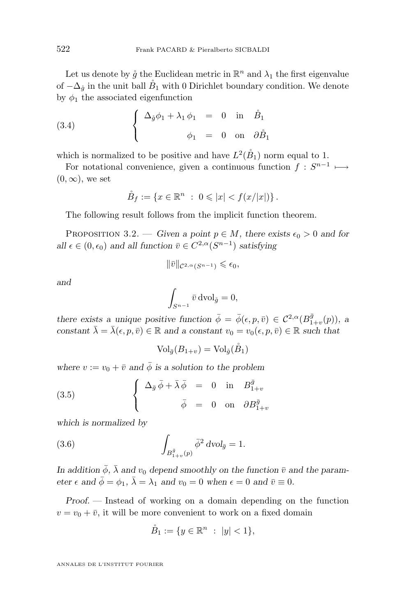<span id="page-8-0"></span>Let us denote by  $\mathring{g}$  the Euclidean metric in  $\mathbb{R}^n$  and  $\lambda_1$  the first eigenvalue of  $-\Delta_{\mathring{q}}$  in the unit ball  $\mathring{B}_1$  with 0 Dirichlet boundary condition. We denote by  $\phi_1$  the associated eigenfunction

(3.4) 
$$
\begin{cases} \Delta_{\hat{g}}\phi_1 + \lambda_1 \phi_1 = 0 \text{ in } \hat{B}_1 \\ \phi_1 = 0 \text{ on } \partial \hat{B}_1 \end{cases}
$$

which is normalized to be positive and have  $L^2(\mathring{B}_1)$  norm equal to 1.

For notational convenience, given a continuous function  $f: S^{n-1} \longmapsto$  $(0, \infty)$ , we set

$$
\mathring{B}_f := \{ x \in \mathbb{R}^n \ : \ 0 \leqslant |x| < f(x/|x|) \} \, .
$$

The following result follows from the implicit function theorem.

PROPOSITION 3.2. — *Given a point*  $p \in M$ , there exists  $\epsilon_0 > 0$  *and for all*  $\epsilon \in (0, \epsilon_0)$  *and all function*  $\bar{v} \in C^{2,\alpha}(S^{n-1})$  *satisfying* 

$$
\|\bar v\|_{\mathcal{C}^{2,\alpha}(S^{n-1})}\leqslant \epsilon_0,
$$

*and*

$$
\int_{S^{n-1}} \bar{v} \,\mathrm{dvol}_{\mathring{g}} = 0,
$$

*there exists a unique positive function*  $\bar{\phi} = \bar{\phi}(\epsilon, p, \bar{v}) \in C^{2,\alpha}(B^{\bar{g}}_{1+v}(p))$ , a *constant*  $\bar{\lambda} = \bar{\lambda}(\epsilon, p, \bar{v}) \in \mathbb{R}$  *and a constant*  $v_0 = v_0(\epsilon, p, \bar{v}) \in \mathbb{R}$  *such that* 

$$
Vol_{\bar{g}}(B_{1+v}) = Vol_{\hat{g}}(\mathring{B}_1)
$$

*where*  $v := v_0 + \overline{v}$  *and*  $\overline{\phi}$  *is a solution to the problem* 

(3.5) 
$$
\begin{cases} \Delta_{\bar{g}} \bar{\phi} + \bar{\lambda} \bar{\phi} = 0 \text{ in } B_{1+v}^{\bar{g}} \\ \bar{\phi} = 0 \text{ on } \partial B_{1+v}^{\bar{g}} \end{cases}
$$

*which is normalized by*

(3.6) 
$$
\int_{B_{1+v}^{\bar{g}}(p)} \bar{\phi}^2 dv \, d\bar{g} = 1.
$$

*In addition*  $\bar{\phi}$ ,  $\bar{\lambda}$  *and*  $v_0$  *depend smoothly on the function*  $\bar{v}$  *and the parameter*  $\epsilon$  *and*  $\bar{\phi} = \phi_1$ ,  $\bar{\lambda} = \lambda_1$  *and*  $v_0 = 0$  *when*  $\epsilon = 0$  *and*  $\bar{v} \equiv 0$ *.* 

*Proof. —* Instead of working on a domain depending on the function  $v = v_0 + \overline{v}$ , it will be more convenient to work on a fixed domain

$$
\mathring{B}_1 := \{ y \in \mathbb{R}^n : |y| < 1 \},
$$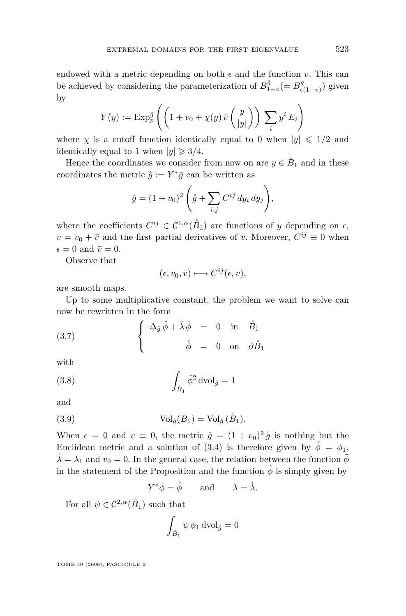<span id="page-9-0"></span>endowed with a metric depending on both  $\epsilon$  and the function v. This can be achieved by considering the parameterization of  $B_{1+v}^{\bar{g}}(=B_{\epsilon}^{g})$  $(\epsilon_{(1+v)})$  given by

$$
Y(y) := \operatorname{Exp}_p^{\bar{g}} \left( \left( 1 + v_0 + \chi(y) \,\bar{v} \left( \frac{y}{|y|} \right) \right) \, \sum_i y^i \, E_i \right)
$$

where  $\chi$  is a cutoff function identically equal to 0 when  $|y| \leq 1/2$  and identically equal to 1 when  $|y| \geq 3/4$ .

Hence the coordinates we consider from now on are  $y \in \overset{\circ}{B}_1$  and in these coordinates the metric  $\hat{g} := Y^* \bar{g}$  can be written as

$$
\hat{g} = (1 + v_0)^2 \left( \mathring{g} + \sum_{i,j} C^{ij} dy_i dy_j \right),
$$

where the coefficients  $C^{ij} \in \mathcal{C}^{1,\alpha}(\mathring{B}_1)$  are functions of y depending on  $\epsilon$ ,  $v = v_0 + \overline{v}$  and the first partial derivatives of v. Moreover,  $C^{ij} \equiv 0$  when  $\epsilon = 0$  and  $\bar{v} = 0$ .

Observe that

$$
(\epsilon, v_0, \bar{v}) \longmapsto C^{ij}(\epsilon, v),
$$

are smooth maps.

Up to some multiplicative constant, the problem we want to solve can now be rewritten in the form

(3.7) 
$$
\begin{cases} \Delta_{\hat{g}} \hat{\phi} + \hat{\lambda} \hat{\phi} = 0 \text{ in } \hat{B}_1 \\ \hat{\phi} = 0 \text{ on } \partial \hat{B}_1 \end{cases}
$$

with

(3.8) 
$$
\int_{\hat{B}_1} \hat{\phi}^2 dv \, \mathrm{d} y = 1
$$

and

(3.9) 
$$
\operatorname{Vol}_{\hat{g}}(\overset{\circ}{B}_1) = \operatorname{Vol}_{\hat{g}}(\overset{\circ}{B}_1).
$$

When  $\epsilon = 0$  and  $\bar{v} \equiv 0$ , the metric  $\hat{g} = (1 + v_0)^2 \hat{g}$  is nothing but the Euclidean metric and a solution of [\(3.4\)](#page-8-0) is therefore given by  $\hat{\phi} = \phi_1$ ,  $\hat{\lambda} = \lambda_1$  and  $v_0 = 0$ . In the general case, the relation between the function  $\bar{\phi}$ in the statement of the Proposition and the function  $\hat{\phi}$  is simply given by

$$
Y^*\bar{\phi} = \hat{\phi} \quad \text{and} \quad \bar{\lambda} = \hat{\lambda}.
$$

For all  $\psi \in C^{2,\alpha}(\mathring{B}_1)$  such that

$$
\int_{\mathring{B}_1} \psi \, \phi_1 \, \mathrm{dvol}_{\mathring{g}} = 0
$$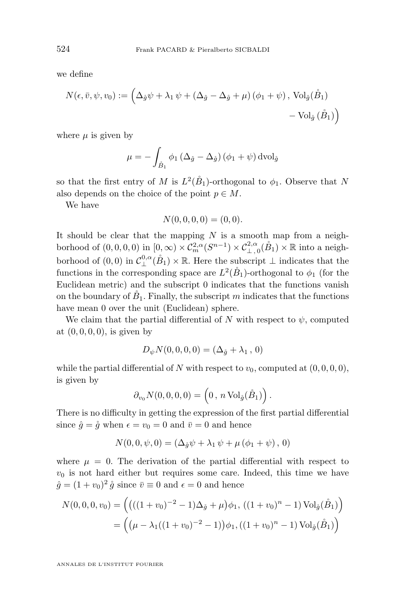we define

$$
N(\epsilon, \bar{v}, \psi, v_0) := \left( \Delta_{\hat{g}} \psi + \lambda_1 \psi + (\Delta_{\hat{g}} - \Delta_{\hat{g}} + \mu) (\phi_1 + \psi), \operatorname{Vol}_{\hat{g}}(\mathring{B}_1) - \operatorname{Vol}_{\hat{g}}(\mathring{B}_1) \right)
$$

where  $\mu$  is given by

$$
\mu = -\int_{\mathring{B}_1} \phi_1 \left( \Delta_{\hat{g}} - \Delta_{\hat{g}} \right) \left( \phi_1 + \psi \right) \mathrm{dvol}_{\hat{g}}
$$

so that the first entry of M is  $L^2(\mathring{B}_1)$ -orthogonal to  $\phi_1$ . Observe that N also depends on the choice of the point  $p \in M$ .

We have

$$
N(0,0,0,0) = (0,0).
$$

It should be clear that the mapping  $N$  is a smooth map from a neighborhood of  $(0,0,0,0)$  in  $[0,\infty) \times C_m^{2,\alpha}(S^{n-1}) \times C_{\perp,0}^{2,\alpha}(\mathring{B}_1) \times \mathbb{R}$  into a neighborhood of  $(0,0)$  in  $\mathcal{C}_{\perp}^{0,\alpha}(\mathring{B}_1) \times \mathbb{R}$ . Here the subscript  $\perp$  indicates that the functions in the corresponding space are  $L^2(\overset{\circ}{B}_1)$ -orthogonal to  $\phi_1$  (for the Euclidean metric) and the subscript 0 indicates that the functions vanish on the boundary of  $\tilde{B}_1$ . Finally, the subscript m indicates that the functions have mean 0 over the unit (Euclidean) sphere.

We claim that the partial differential of N with respect to  $\psi$ , computed at  $(0, 0, 0, 0)$ , is given by

$$
D_{\psi} N(0,0,0,0) = (\Delta_{\mathring{g}} + \lambda_1, 0)
$$

while the partial differential of N with respect to  $v_0$ , computed at  $(0, 0, 0, 0)$ , is given by

$$
\partial_{v_0} N(0,0,0,0) = \left(0, n \operatorname{Vol}_{\mathring{g}}(\mathring{B}_1)\right).
$$

There is no difficulty in getting the expression of the first partial differential since  $\hat{g} = \hat{g}$  when  $\epsilon = v_0 = 0$  and  $\bar{v} = 0$  and hence

$$
N(0,0,\psi,0) = (\Delta_{\mathring{g}}\psi + \lambda_1 \psi + \mu (\phi_1 + \psi), 0)
$$

where  $\mu = 0$ . The derivation of the partial differential with respect to  $v_0$  is not hard either but requires some care. Indeed, this time we have  $\hat{g} = (1 + v_0)^2 \hat{g}$  since  $\bar{v} \equiv 0$  and  $\epsilon = 0$  and hence

$$
N(0,0,0,v_0) = ((( (1 + v_0)^{-2} - 1)\Delta_{\mathring{g}} + \mu)\phi_1, ((1 + v_0)^n - 1) \text{Vol}_{\mathring{g}}(\mathring{B}_1))
$$
  
= 
$$
((\mu - \lambda_1((1 + v_0)^{-2} - 1))\phi_1, ((1 + v_0)^n - 1) \text{Vol}_{\mathring{g}}(\mathring{B}_1))
$$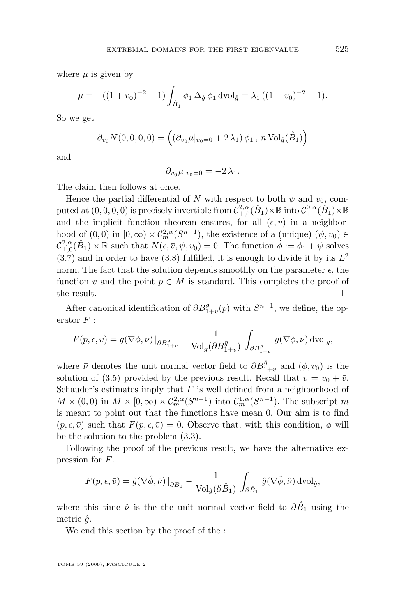<span id="page-11-0"></span>where  $\mu$  is given by

$$
\mu = -((1 + v_0)^{-2} - 1) \int_{\mathring{B}_1} \phi_1 \, \Delta_{\mathring{g}} \, \phi_1 \, \text{dvol}_{\mathring{g}} = \lambda_1 \, ((1 + v_0)^{-2} - 1).
$$

So we get

$$
\partial_{v_0} N(0,0,0,0) = \left( \left( \partial_{v_0} \mu |_{v_0=0} + 2 \lambda_1 \right) \phi_1, n \operatorname{Vol}_{\hat{g}}(\mathring{B}_1) \right)
$$

and

$$
\partial_{v_0}\mu|_{v_0=0}=-2\,\lambda_1.
$$

The claim then follows at once.

Hence the partial differential of N with respect to both  $\psi$  and  $v_0$ , computed at  $(0,0,0,0)$  is precisely invertible from  $\mathcal{C}^{2,\alpha}_{\perp,0}(\mathring{B}_1)\times \mathbb{R}$  into  $\mathcal{C}^{0,\alpha}_{\perp}(\mathring{B}_1)\times \mathbb{R}$ and the implicit function theorem ensures, for all  $(\epsilon, \bar{v})$  in a neighborhood of  $(0,0)$  in  $[0,\infty) \times C_m^{2,\alpha}(S^{n-1})$ , the existence of a (unique)  $(\psi, v_0) \in$  $\mathcal{C}_{\perp,0}^{2,\alpha}(\mathring{B}_1)\times\mathbb{R}$  such that  $N(\epsilon,\bar{v},\psi,v_0)=0$ . The function  $\hat{\phi}:=\phi_1+\psi$  solves  $(3.7)$  and in order to have  $(3.8)$  fulfilled, it is enough to divide it by its  $L^2$ norm. The fact that the solution depends smoothly on the parameter  $\epsilon$ , the function  $\bar{v}$  and the point  $p \in M$  is standard. This completes the proof of the result.  $\Box$ 

After canonical identification of  $\partial B_{1+v}^{\bar{g}}(p)$  with  $S^{n-1}$ , we define, the operator  $F$  :

$$
F(p,\epsilon,\bar{v}) = \bar{g}(\nabla\bar{\phi},\bar{\nu})\left.\right|_{\partial B^{\bar{g}}_{1+v}} - \frac{1}{\text{Vol}_{\bar{g}}(\partial B^{\bar{g}}_{1+v})}\int_{\partial B^{\bar{g}}_{1+v}} \bar{g}(\nabla\bar{\phi},\bar{\nu})\,\mathrm{dvol}_{\bar{g}},
$$

where  $\bar{\nu}$  denotes the unit normal vector field to  $\partial B_{1+v}^{\bar{g}}$  and  $(\bar{\phi}, v_0)$  is the solution of [\(3.5\)](#page-8-0) provided by the previous result. Recall that  $v = v_0 + \overline{v}$ . Schauder's estimates imply that  $F$  is well defined from a neighborhood of  $M \times (0,0)$  in  $M \times [0,\infty) \times C_m^{2,\alpha}(S^{n-1})$  into  $C_m^{1,\alpha}(S^{n-1})$ . The subscript m is meant to point out that the functions have mean 0. Our aim is to find  $(p, \epsilon, \bar{v})$  such that  $F(p, \epsilon, \bar{v}) = 0$ . Observe that, with this condition,  $\phi$  will be the solution to the problem [\(3.3\)](#page-7-0).

Following the proof of the previous result, we have the alternative expression for F.

$$
F(p,\epsilon,\bar{v}) = \hat{g}(\nabla\hat{\phi},\hat{\nu})\left|_{\partial \hat{B}_1} - \frac{1}{\text{Vol}_{\hat{g}}(\partial \hat{B}_1)} \int_{\partial \hat{B}_1} \hat{g}(\nabla \hat{\phi},\hat{\nu}) \,\mathrm{dvol}_{\hat{g}},\right.
$$

where this time  $\hat{\nu}$  is the the unit normal vector field to  $\partial \hat{B}_1$  using the metric  $\hat{g}$ .

We end this section by the proof of the :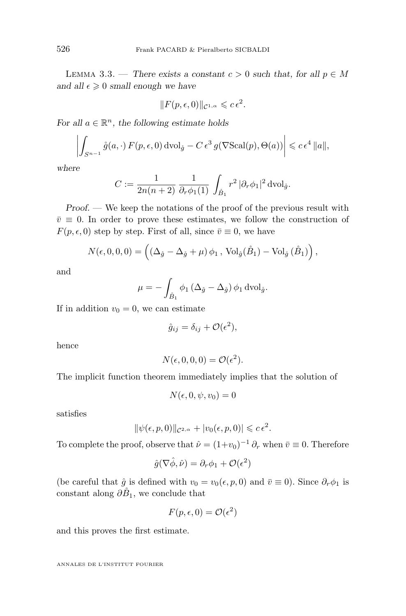LEMMA 3.3. — There exists a constant  $c > 0$  such that, for all  $p \in M$ and all  $\epsilon \geq 0$  *small enough we have* 

$$
||F(p,\epsilon,0)||_{\mathcal{C}^{1,\alpha}} \leqslant c\,\epsilon^2.
$$

*For all*  $a \in \mathbb{R}^n$ *, the following estimate holds* 

$$
\left| \int_{S^{n-1}} \mathring{g}(a, \cdot) F(p, \epsilon, 0) \, \mathrm{d} \mathrm{vol}_{\mathring{g}} - C \, \epsilon^3 \, g(\nabla \mathrm{Scal}(p), \Theta(a)) \right| \leqslant c \, \epsilon^4 \, \|a\|,
$$

*where*

$$
C := \frac{1}{2n(n+2)} \, \frac{1}{\partial_r \phi_1(1)} \, \int_{\mathring{B}_1} r^2 \, |\partial_r \phi_1|^2 \, \mathrm{dvol}_{\mathring{g}}.
$$

*Proof.* — We keep the notations of the proof of the previous result with  $\bar{v} \equiv 0$ . In order to prove these estimates, we follow the construction of  $F(p, \epsilon, 0)$  step by step. First of all, since  $\bar{v} \equiv 0$ , we have

$$
N(\epsilon, 0, 0, 0) = \left( \left( \Delta_{\hat{g}} - \Delta_{\hat{g}} + \mu \right) \phi_1, \operatorname{Vol}_{\hat{g}}(\mathring{B}_1) - \operatorname{Vol}_{\hat{g}}(\mathring{B}_1) \right),
$$

and

$$
\mu = -\int_{\mathring{B}_1} \phi_1 \left( \Delta_{\hat{g}} - \Delta_{\hat{g}} \right) \phi_1 \,\mathrm{dvol}_{\hat{g}}.
$$

If in addition  $v_0 = 0$ , we can estimate

$$
\hat{g}_{ij} = \delta_{ij} + \mathcal{O}(\epsilon^2),
$$

hence

$$
N(\epsilon, 0, 0, 0) = \mathcal{O}(\epsilon^2).
$$

The implicit function theorem immediately implies that the solution of

$$
N(\epsilon, 0, \psi, v_0) = 0
$$

satisfies

$$
\|\psi(\epsilon, p, 0)\|_{\mathcal{C}^{2,\alpha}} + |v_0(\epsilon, p, 0)| \leqslant c \epsilon^2.
$$

To complete the proof, observe that  $\hat{\nu} = (1+v_0)^{-1} \partial_r$  when  $\bar{v} \equiv 0$ . Therefore

$$
\hat{g}(\nabla \hat{\phi}, \hat{\nu}) = \partial_r \phi_1 + \mathcal{O}(\epsilon^2)
$$

(be careful that  $\hat{g}$  is defined with  $v_0 = v_0(\epsilon, p, 0)$  and  $\bar{v} \equiv 0$ ). Since  $\partial_r \phi_1$  is constant along  $\partial \tilde{B}_1$ , we conclude that

$$
F(p, \epsilon, 0) = \mathcal{O}(\epsilon^2)
$$

and this proves the first estimate.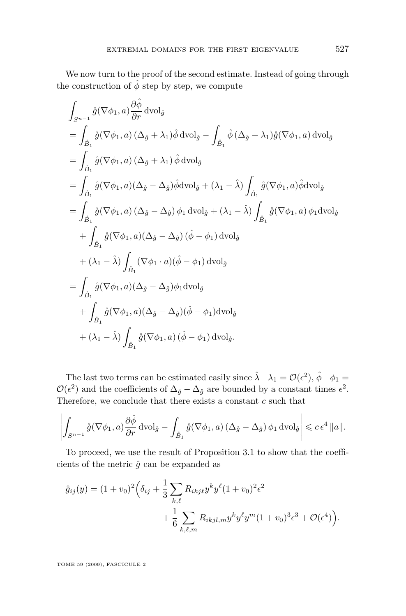We now turn to the proof of the second estimate. Instead of going through the construction of  $\hat{\phi}$  step by step, we compute

$$
\int_{S^{n-1}} \mathring{g}(\nabla \phi_1, a) \frac{\partial \hat{\phi}}{\partial r} \, dvol_{\mathring{g}}
$$
\n
$$
= \int_{\mathring{B}_1} \mathring{g}(\nabla \phi_1, a) \left(\Delta_{\mathring{g}} + \lambda_1\right) \hat{\phi} \, dvol_{\mathring{g}} - \int_{\mathring{B}_1} \hat{\phi} \left(\Delta_{\mathring{g}} + \lambda_1\right) \hat{g}(\nabla \phi_1, a) \, dvol_{\mathring{g}}
$$
\n
$$
= \int_{\mathring{B}_1} \mathring{g}(\nabla \phi_1, a) \left(\Delta_{\mathring{g}} + \lambda_1\right) \hat{\phi} \, dvol_{\mathring{g}}
$$
\n
$$
= \int_{\mathring{B}_1} \mathring{g}(\nabla \phi_1, a) \left(\Delta_{\mathring{g}} - \Delta_{\mathring{g}}\right) \hat{\phi} \, dvol_{\mathring{g}} + (\lambda_1 - \hat{\lambda}) \int_{\mathring{B}_1} \mathring{g}(\nabla \phi_1, a) \hat{\phi} \, dvol_{\mathring{g}}
$$
\n
$$
= \int_{\mathring{B}_1} \mathring{g}(\nabla \phi_1, a) \left(\Delta_{\mathring{g}} - \Delta_{\mathring{g}}\right) \phi_1 \, dvol_{\mathring{g}} + (\lambda_1 - \hat{\lambda}) \int_{\mathring{B}_1} \mathring{g}(\nabla \phi_1, a) \phi_1 \, dvol_{\mathring{g}}
$$
\n
$$
+ \int_{\mathring{B}_1} \mathring{g}(\nabla \phi_1, a) \left(\Delta_{\mathring{g}} - \Delta_{\mathring{g}}\right) \left(\hat{\phi} - \phi_1\right) \, dvol_{\mathring{g}}
$$
\n
$$
+ (\lambda_1 - \hat{\lambda}) \int_{\mathring{B}_1} (\nabla \phi_1 \cdot a) \left(\hat{\phi} - \phi_1\right) \, dvol_{\mathring{g}}
$$
\n
$$
= \int_{\mathring{B}_1} \mathring{g}(\nabla \phi_1, a) \left(\Delta_{\mathring{g}} - \Delta_{\mathring{g}}\right) \phi_1 \, dvol_{\mathring{g}}
$$
\n

The last two terms can be estimated easily since  $\hat{\lambda} - \lambda_1 = \mathcal{O}(\epsilon^2)$ ,  $\hat{\phi} - \phi_1 =$  $\mathcal{O}(\epsilon^2)$  and the coefficients of  $\Delta_{\hat{g}} - \Delta_{\hat{g}}$  are bounded by a constant times  $\epsilon^2$ . Therefore, we conclude that there exists a constant  $c$  such that

$$
\left| \int_{S^{n-1}} \mathring{g}(\nabla \phi_1, a) \frac{\partial \mathring{\phi}}{\partial r} \, \mathrm{d} \mathrm{vol}_{\mathring{g}} - \int_{\mathring{B}_1} \mathring{g}(\nabla \phi_1, a) \left( \Delta_{\mathring{g}} - \Delta_{\hat{g}} \right) \phi_1 \, \mathrm{d} \mathrm{vol}_{\mathring{g}} \right| \leqslant c \, \epsilon^4 \, \|a\|.
$$

To proceed, we use the result of Proposition [3.1](#page-6-0) to show that the coefficients of the metric  $\hat{g}$  can be expanded as

$$
\hat{g}_{ij}(y) = (1 + v_0)^2 \left( \delta_{ij} + \frac{1}{3} \sum_{k,\ell} R_{ikj\ell} y^k y^\ell (1 + v_0)^2 \epsilon^2 + \frac{1}{6} \sum_{k,\ell,m} R_{ikjl,m} y^k y^\ell y^m (1 + v_0)^3 \epsilon^3 + \mathcal{O}(\epsilon^4) \right).
$$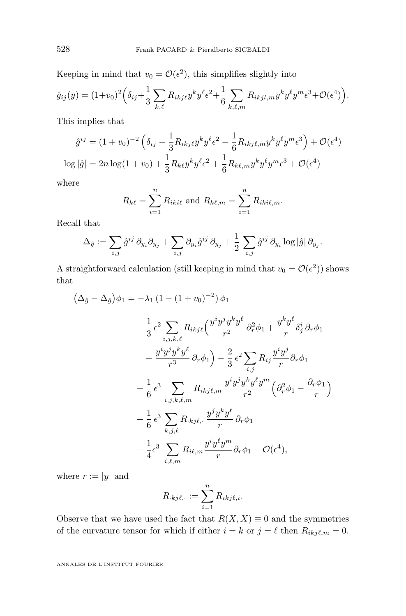Keeping in mind that  $v_0 = \mathcal{O}(\epsilon^2)$ , this simplifies slightly into

$$
\hat{g}_{ij}(y) = (1+v_0)^2 \left( \delta_{ij} + \frac{1}{3} \sum_{k,\ell} R_{ikj\ell} y^k y^\ell \epsilon^2 + \frac{1}{6} \sum_{k,\ell,m} R_{ikjl,m} y^k y^\ell y^m \epsilon^3 + \mathcal{O}(\epsilon^4) \right).
$$

This implies that

$$
\hat{g}^{ij} = (1 + v_0)^{-2} \left( \delta_{ij} - \frac{1}{3} R_{ikjl} y^k y^\ell \epsilon^2 - \frac{1}{6} R_{ikjl,m} y^k y^\ell y^m \epsilon^3 \right) + \mathcal{O}(\epsilon^4)
$$
  

$$
\log |\hat{g}| = 2n \log(1 + v_0) + \frac{1}{3} R_{k\ell} y^k y^\ell \epsilon^2 + \frac{1}{6} R_{k\ell,m} y^k y^\ell y^m \epsilon^3 + \mathcal{O}(\epsilon^4)
$$

where

$$
R_{k\ell} = \sum_{i=1}^{n} R_{iki\ell}
$$
 and  $R_{k\ell,m} = \sum_{i=1}^{n} R_{iki\ell,m}$ .

Recall that

$$
\Delta_{\hat{g}} := \sum_{i,j} \hat{g}^{ij} \, \partial_{y_i} \partial_{y_j} + \sum_{i,j} \partial_{y_i} \hat{g}^{ij} \, \partial_{y_j} + \frac{1}{2} \sum_{i,j} \hat{g}^{ij} \, \partial_{y_i} \log |\hat{g}| \, \partial_{y_j}.
$$

A straightforward calculation (still keeping in mind that  $v_0 = \mathcal{O}(\epsilon^2)$ ) shows that

$$
\begin{split}\n(\Delta_{\mathring{g}} - \Delta_{\hat{g}}) \phi_1 &= -\lambda_1 (1 - (1 + v_0)^{-2}) \phi_1 \\
&+ \frac{1}{3} \epsilon^2 \sum_{i,j,k,\ell} R_{ikj\ell} \Big( \frac{y^i y^j y^k y^\ell}{r^2} \partial_r^2 \phi_1 + \frac{y^k y^\ell}{r} \delta_j^i \partial_r \phi_1 \\
&- \frac{y^i y^j y^k y^\ell}{r^3} \partial_r \phi_1 \Big) - \frac{2}{3} \epsilon^2 \sum_{i,j} R_{ij} \frac{y^i y^j}{r} \partial_r \phi_1 \\
&+ \frac{1}{6} \epsilon^3 \sum_{i,j,k,\ell,m} R_{ikj\ell,m} \frac{y^i y^j y^k y^\ell y^m}{r^2} \Big( \partial_r^2 \phi_1 - \frac{\partial_r \phi_1}{r} \Big) \\
&+ \frac{1}{6} \epsilon^3 \sum_{k,j,\ell} R_{.kj\ell, \cdot} \frac{y^j y^k y^\ell}{r} \partial_r \phi_1 \\
&+ \frac{1}{4} \epsilon^3 \sum_{i,\ell,m} R_{i\ell,m} \frac{y^i y^\ell y^m}{r} \partial_r \phi_1 + \mathcal{O}(\epsilon^4),\n\end{split}
$$

where  $r := |y|$  and

$$
R_{\cdot kj\ell,\cdot} := \sum_{i=1}^n R_{ikj\ell,i}.
$$

Observe that we have used the fact that  $R(X, X) \equiv 0$  and the symmetries of the curvature tensor for which if either  $i = k$  or  $j = \ell$  then  $R_{ikj\ell,m} = 0$ .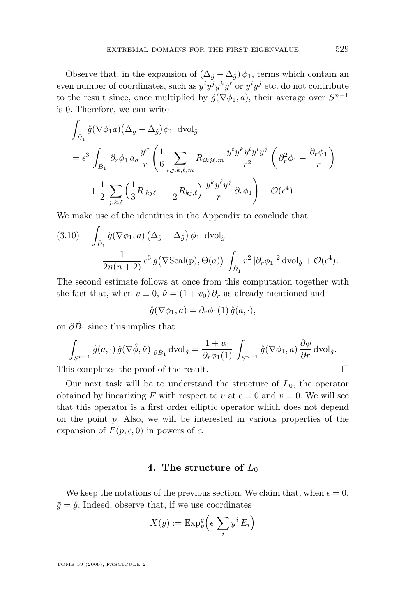Observe that, in the expansion of  $(\Delta_{\hat{g}} - \Delta_{\hat{g}}) \phi_1$ , terms which contain an even number of coordinates, such as  $y^i y^j y^k y^\ell$  or  $y^i y^j$  etc. do not contribute to the result since, once multiplied by  $\mathring{g}(\nabla \phi_1, a)$ , their average over  $S^{n-1}$ is 0. Therefore, we can write

$$
\int_{\mathring{B}_1} \mathring{g}(\nabla \phi_1 a) (\Delta_{\mathring{g}} - \Delta_{\hat{g}}) \phi_1 \text{ dvol}_{\mathring{g}}
$$
\n
$$
= \epsilon^3 \int_{\mathring{B}_1} \partial_r \phi_1 a_\sigma \frac{y^\sigma}{r} \left( \frac{1}{6} \sum_{i,j,k,\ell,m} R_{ikj\ell,m} \frac{y^t y^k y^l y^i y^j}{r^2} \left( \partial_r^2 \phi_1 - \frac{\partial_r \phi_1}{r} \right) + \frac{1}{2} \sum_{j,k,\ell} \left( \frac{1}{3} R_{kj\ell,-} - \frac{1}{2} R_{kj\ell} \right) \frac{y^k y^\ell y^j}{r} \partial_r \phi_1 \right) + \mathcal{O}(\epsilon^4).
$$

We make use of the identities in the Appendix to conclude that

(3.10) 
$$
\int_{\mathring{B}_1} \mathring{g}(\nabla \phi_1, a) (\Delta_{\mathring{g}} - \Delta_{\mathring{g}}) \phi_1 \text{ dvol}_{\mathring{g}}
$$

$$
= \frac{1}{2n(n+2)} \epsilon^3 g(\nabla \text{Scal}(p), \Theta(a)) \int_{\mathring{B}_1} r^2 |\partial_r \phi_1|^2 \text{ dvol}_{\mathring{g}} + \mathcal{O}(\epsilon^4).
$$

The second estimate follows at once from this computation together with the fact that, when  $\bar{v} \equiv 0$ ,  $\hat{\nu} = (1 + v_0) \partial_r$  as already mentioned and

$$
\mathring{g}(\nabla \phi_1, a) = \partial_r \phi_1(1) \mathring{g}(a, \cdot),
$$

on  $\partial \tilde{B}_1$  since this implies that

$$
\int_{S^{n-1}} \mathring{g}(a,\cdot) \, \hat{g}(\nabla \hat{\phi},\hat{\nu})|_{\partial \mathring{B}_1} \, \mathrm{dvol}_{\mathring{g}} = \frac{1+v_0}{\partial_r \phi_1(1)} \, \int_{S^{n-1}} \mathring{g}(\nabla \phi_1, a) \, \frac{\partial \hat{\phi}}{\partial r} \, \mathrm{dvol}_{\mathring{g}}.
$$

This completes the proof of the result.

Our next task will be to understand the structure of  $L_0$ , the operator obtained by linearizing F with respect to  $\bar{v}$  at  $\epsilon = 0$  and  $\bar{v} = 0$ . We will see that this operator is a first order elliptic operator which does not depend on the point  $p$ . Also, we will be interested in various properties of the expansion of  $F(p, \epsilon, 0)$  in powers of  $\epsilon$ .

#### **4. The structure of** L<sup>0</sup>

We keep the notations of the previous section. We claim that, when  $\epsilon = 0$ ,  $\bar{g} = \dot{g}$ . Indeed, observe that, if we use coordinates

$$
\bar{X}(y) := \mathrm{Exp}_p^g \left( \epsilon \sum_i y^i E_i \right)
$$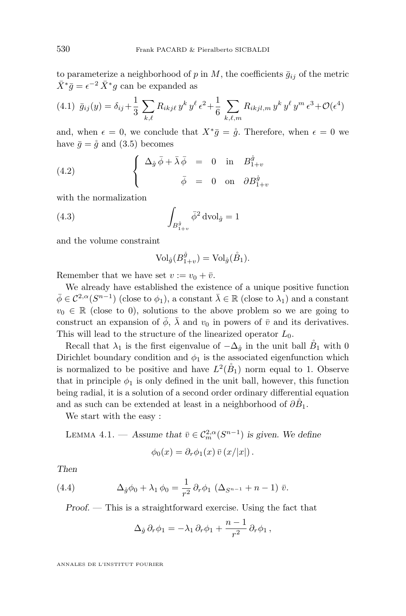<span id="page-16-0"></span>to parameterize a neighborhood of p in M, the coefficients  $\bar{g}_{ij}$  of the metric  $\bar{X}^*\bar{g} = \epsilon^{-2} \bar{X}^*g$  can be expanded as

$$
(4.1) \ \ \bar{g}_{ij}(y) = \delta_{ij} + \frac{1}{3} \sum_{k,\ell} R_{ikj\ell} y^k y^\ell \epsilon^2 + \frac{1}{6} \sum_{k,\ell,m} R_{ikjl,m} y^k y^\ell y^m \epsilon^3 + \mathcal{O}(\epsilon^4)
$$

and, when  $\epsilon = 0$ , we conclude that  $X^*\bar{g} = \dot{g}$ . Therefore, when  $\epsilon = 0$  we have  $\bar{g} = \dot{g}$  and [\(3.5\)](#page-8-0) becomes

(4.2) 
$$
\begin{cases} \Delta_{\mathring{g}} \bar{\phi} + \bar{\lambda} \bar{\phi} = 0 \text{ in } B^{\mathring{g}}_{1+v} \\ \bar{\phi} = 0 \text{ on } \partial B^{\mathring{g}}_{1+v} \end{cases}
$$

with the normalization

(4.3) 
$$
\int_{B_{1+v}^{\hat{g}}} \bar{\phi}^2 \, \text{dvol}_{\hat{g}} = 1
$$

and the volume constraint

$$
\text{Vol}_{\mathring{g}}(B_{1+v}^{\mathring{g}}) = \text{Vol}_{\mathring{g}}(\mathring{B}_1).
$$

Remember that we have set  $v := v_0 + \overline{v}$ .

We already have established the existence of a unique positive function  $\bar{\phi} \in C^{2,\alpha}(S^{n-1})$  (close to  $\phi_1$ ), a constant  $\bar{\lambda} \in \mathbb{R}$  (close to  $\lambda_1$ ) and a constant  $v_0 \in \mathbb{R}$  (close to 0), solutions to the above problem so we are going to construct an expansion of  $\bar{\phi}$ ,  $\bar{\lambda}$  and  $v_0$  in powers of  $\bar{v}$  and its derivatives. This will lead to the structure of the linearized operator  $L_0$ .

Recall that  $\lambda_1$  is the first eigenvalue of  $-\Delta_{\hat{g}}$  in the unit ball  $\tilde{B}_1$  with 0 Dirichlet boundary condition and  $\phi_1$  is the associated eigenfunction which is normalized to be positive and have  $L^2(\mathring{B}_1)$  norm equal to 1. Observe that in principle  $\phi_1$  is only defined in the unit ball, however, this function being radial, it is a solution of a second order ordinary differential equation and as such can be extended at least in a neighborhood of  $\partial \tilde{B}_1$ .

We start with the easy :

LEMMA 4.1. — Assume that  $\bar{v} \in C_m^{2,\alpha}(S^{n-1})$  is given. We define

$$
\phi_0(x) = \partial_r \phi_1(x) \,\overline{v} (x/|x|) .
$$

*Then*

(4.4) 
$$
\Delta_{\hat{g}} \phi_0 + \lambda_1 \phi_0 = \frac{1}{r^2} \partial_r \phi_1 \left( \Delta_{S^{n-1}} + n - 1 \right) \bar{v}.
$$

*Proof. —* This is a straightforward exercise. Using the fact that

$$
\Delta_{\mathring{g}} \, \partial_r \phi_1 = - \lambda_1 \, \partial_r \phi_1 + \frac{n-1}{r^2} \, \partial_r \phi_1 \,,
$$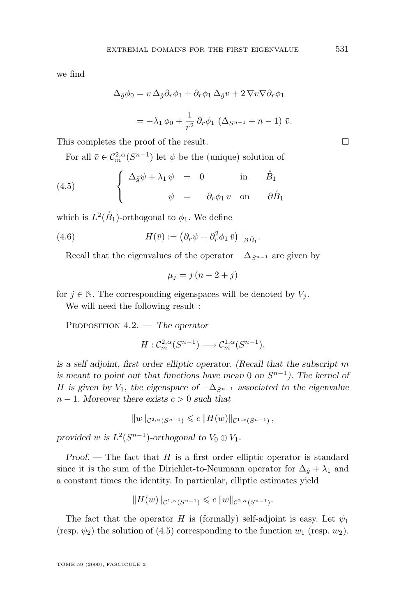<span id="page-17-0"></span>we find

$$
\Delta_{\tilde{g}}\phi_0 = v \Delta_{\tilde{g}}\partial_r \phi_1 + \partial_r \phi_1 \Delta_{\tilde{g}} \bar{v} + 2 \nabla \bar{v} \nabla \partial_r \phi_1
$$

$$
= -\lambda_1 \phi_0 + \frac{1}{r^2} \partial_r \phi_1 \left( \Delta_{S^{n-1}} + n - 1 \right) \bar{v}.
$$

This completes the proof of the result.

For all  $\bar{v} \in C_m^{2,\alpha}(S^{n-1})$  let  $\psi$  be the (unique) solution of

(4.5) 
$$
\begin{cases} \Delta_{\mathring{g}} \psi + \lambda_1 \psi = 0 & \text{in} \quad \mathring{B}_1 \\ \psi = -\partial_r \phi_1 \bar{v} & \text{on} \quad \partial \mathring{B}_1 \end{cases}
$$

which is  $L^2(\mathring{B}_1)$ -orthogonal to  $\phi_1$ . We define

(4.6) 
$$
H(\bar{v}) := (\partial_r \psi + \partial_r^2 \phi_1 \bar{v}) \big|_{\partial \mathring{B}_1}.
$$

Recall that the eigenvalues of the operator  $-\Delta_{S^{n-1}}$  are given by

$$
\mu_j = j\left(n - 2 + j\right)
$$

for  $j \in \mathbb{N}$ . The corresponding eigenspaces will be denoted by  $V_j$ .

We will need the following result :

Proposition 4.2. — *The operator*

$$
H: \mathcal{C}^{2,\alpha}_m(S^{n-1}) \longrightarrow \mathcal{C}^{1,\alpha}_m(S^{n-1}),
$$

*is a self adjoint, first order elliptic operator. (Recall that the subscript* m *is meant to point out that functions have mean* 0 *on*  $S^{n-1}$ *). The kernel of* H is given by  $V_1$ , the eigenspace of  $-\Delta_{S^{n-1}}$  associated to the eigenvalue n − 1*. Moreover there exists* c > 0 *such that*

$$
||w||_{\mathcal{C}^{2,\alpha}(S^{n-1})} \leqslant c ||H(w)||_{\mathcal{C}^{1,\alpha}(S^{n-1})},
$$

provided *w* is  $L^2(S^{n-1})$ -orthogonal to  $V_0 \oplus V_1$ .

*Proof.* — The fact that H is a first order elliptic operator is standard since it is the sum of the Dirichlet-to-Neumann operator for  $\Delta_{\mathring{q}} + \lambda_1$  and a constant times the identity. In particular, elliptic estimates yield

$$
||H(w)||_{\mathcal{C}^{1,\alpha}(S^{n-1})} \leqslant c ||w||_{\mathcal{C}^{2,\alpha}(S^{n-1})}.
$$

The fact that the operator H is (formally) self-adjoint is easy. Let  $\psi_1$ (resp.  $\psi_2$ ) the solution of (4.5) corresponding to the function  $w_1$  (resp.  $w_2$ ).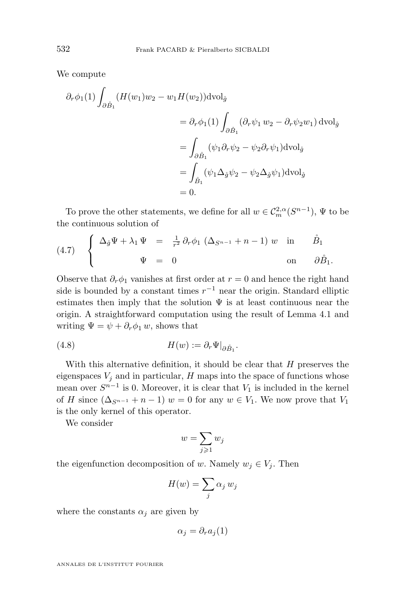We compute

$$
\partial_r \phi_1(1) \int_{\partial \hat{B}_1} (H(w_1)w_2 - w_1 H(w_2)) \text{dvol}_{\hat{g}}
$$
  
\n
$$
= \partial_r \phi_1(1) \int_{\partial \hat{B}_1} (\partial_r \psi_1 w_2 - \partial_r \psi_2 w_1) \text{dvol}_{\hat{g}}
$$
  
\n
$$
= \int_{\partial \hat{B}_1} (\psi_1 \partial_r \psi_2 - \psi_2 \partial_r \psi_1) \text{dvol}_{\hat{g}}
$$
  
\n
$$
= \int_{\hat{B}_1} (\psi_1 \Delta_{\hat{g}} \psi_2 - \psi_2 \Delta_{\hat{g}} \psi_1) \text{dvol}_{\hat{g}}
$$
  
\n
$$
= 0.
$$

To prove the other statements, we define for all  $w \in C_m^{2,\alpha}(S^{n-1})$ ,  $\Psi$  to be the continuous solution of

(4.7) 
$$
\begin{cases} \Delta_{\mathring{g}} \Psi + \lambda_1 \Psi = \frac{1}{r^2} \partial_r \phi_1 \left( \Delta_{S^{n-1}} + n - 1 \right) w & \text{in } \mathring{B}_1 \\ \Psi = 0 & \text{on } \partial \mathring{B}_1. \end{cases}
$$

Observe that  $\partial_r \phi_1$  vanishes at first order at  $r = 0$  and hence the right hand side is bounded by a constant times  $r^{-1}$  near the origin. Standard elliptic estimates then imply that the solution  $\Psi$  is at least continuous near the origin. A straightforward computation using the result of Lemma [4.1](#page-16-0) and writing  $\Psi = \psi + \partial_r \phi_1 w$ , shows that

(4.8) 
$$
H(w) := \partial_r \Psi|_{\partial \mathring{B}_1}.
$$

With this alternative definition, it should be clear that  $H$  preserves the eigenspaces  $V_j$  and in particular,  $H$  maps into the space of functions whose mean over  $S^{n-1}$  is 0. Moreover, it is clear that  $V_1$  is included in the kernel of H since  $(\Delta_{S^{n-1}} + n - 1) w = 0$  for any  $w \in V_1$ . We now prove that  $V_1$ is the only kernel of this operator.

We consider

$$
w = \sum_{j \geqslant 1} w_j
$$

the eigenfunction decomposition of w. Namely  $w_j \in V_j$ . Then

$$
H(w) = \sum_j \alpha_j w_j
$$

where the constants  $\alpha_i$  are given by

$$
\alpha_j = \partial_r a_j(1)
$$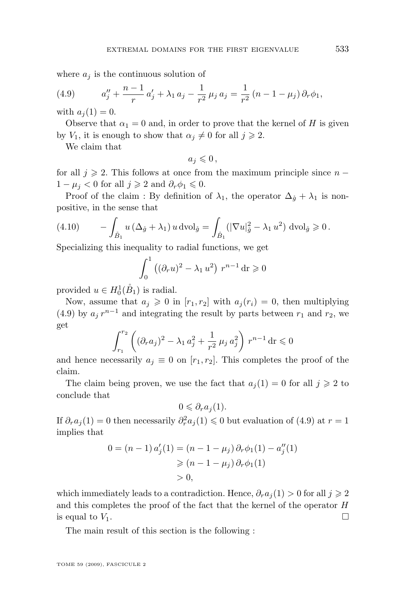where  $a_i$  is the continuous solution of

(4.9) 
$$
a''_j + \frac{n-1}{r} a'_j + \lambda_1 a_j - \frac{1}{r^2} \mu_j a_j = \frac{1}{r^2} (n - 1 - \mu_j) \partial_r \phi_1,
$$

with  $a_i(1) = 0$ .

Observe that  $\alpha_1 = 0$  and, in order to prove that the kernel of H is given by  $V_1$ , it is enough to show that  $\alpha_j \neq 0$  for all  $j \geq 2$ .

We claim that

$$
a_j\leqslant 0\,,
$$

for all  $j \geqslant 2$ . This follows at once from the maximum principle since  $n 1 - \mu_j < 0$  for all  $j \geqslant 2$  and  $\partial_r \phi_1 \leqslant 0$ .

Proof of the claim : By definition of  $\lambda_1$ , the operator  $\Delta_{\mathring{q}} + \lambda_1$  is nonpositive, in the sense that

(4.10) 
$$
-\int_{\mathring{B}_1} u\left(\Delta_{\mathring{g}} + \lambda_1\right)u \, \text{dvol}_{\mathring{g}} = \int_{\mathring{B}_1} \left(|\nabla u|_{\mathring{g}}^2 - \lambda_1 u^2\right) \, \text{dvol}_{\mathring{g}} \geqslant 0.
$$

Specializing this inequality to radial functions, we get

$$
\int_0^1 ((\partial_r u)^2 - \lambda_1 u^2) r^{n-1} dr \geqslant 0
$$

provided  $u \in H_0^1(\mathring{B}_1)$  is radial.

Now, assume that  $a_i \geq 0$  in  $[r_1, r_2]$  with  $a_i(r_i) = 0$ , then multiplying (4.9) by  $a_j r^{n-1}$  and integrating the result by parts between  $r_1$  and  $r_2$ , we get

$$
\int_{r_1}^{r_2} \left( (\partial_r a_j)^2 - \lambda_1 a_j^2 + \frac{1}{r^2} \mu_j a_j^2 \right) r^{n-1} dr \leq 0
$$

and hence necessarily  $a_i \equiv 0$  on  $[r_1, r_2]$ . This completes the proof of the claim.

The claim being proven, we use the fact that  $a_i(1) = 0$  for all  $j \geq 2$  to conclude that

$$
0 \leq \partial_r a_j(1).
$$

If  $\partial_r a_j(1) = 0$  then necessarily  $\partial_r^2 a_j(1) \leq 0$  but evaluation of  $(4.9)$  at  $r = 1$ implies that

$$
0 = (n - 1) a'_j(1) = (n - 1 - \mu_j) \partial_r \phi_1(1) - a''_j(1)
$$
  
\n
$$
\ge (n - 1 - \mu_j) \partial_r \phi_1(1)
$$
  
\n
$$
> 0,
$$

which immediately leads to a contradiction. Hence,  $\partial_r a_i(1) > 0$  for all  $j \geq 2$ and this completes the proof of the fact that the kernel of the operator H is equal to  $V_1$ .

The main result of this section is the following :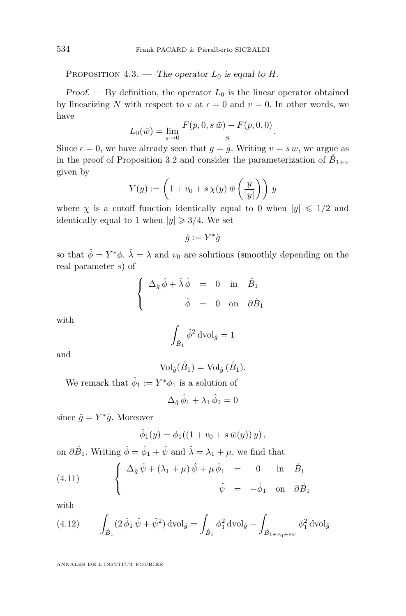<span id="page-20-0"></span>PROPOSITION 4.3. — *The operator*  $L_0$  *is equal to H*.

*Proof.* — By definition, the operator  $L_0$  is the linear operator obtained by linearizing N with respect to  $\bar{v}$  at  $\epsilon = 0$  and  $\bar{v} = 0$ . In other words, we have

$$
L_0(\bar{w}) = \lim_{s \to 0} \frac{F(p, 0, s\,\bar{w}) - F(p, 0, 0)}{s}.
$$

Since  $\epsilon = 0$ , we have already seen that  $\bar{g} = \dot{g}$ . Writing  $\bar{v} = s \bar{w}$ , we argue as in the proof of Proposition [3.2](#page-8-0) and consider the parameterization of  $\tilde{B}_{1+v}$ given by

$$
Y(y) := \left(1 + v_0 + s\,\chi(y)\,\bar{w}\left(\frac{y}{|y|}\right)\right)\,y
$$

where  $\chi$  is a cutoff function identically equal to 0 when  $|y| \leq 1/2$  and identically equal to 1 when  $|y| \geq 3/4$ . We set

 $\hat{g} := Y^* \mathring{g}$ 

so that  $\hat{\phi} = Y^* \bar{\phi}$ ,  $\hat{\lambda} = \bar{\lambda}$  and  $v_0$  are solutions (smoothly depending on the real parameter s) of

$$
\begin{cases}\n\Delta_{\hat{g}} \hat{\phi} + \hat{\lambda} \hat{\phi} = 0 \text{ in } \hat{B}_1 \\
\hat{\phi} = 0 \text{ on } \partial \hat{B}_1\n\end{cases}
$$

with

$$
\int_{\mathring{B}_1} \hat{\phi}^2 \operatorname{dvol}_{\hat{g}} = 1
$$

and

$$
\text{Vol}_{\hat{g}}(\mathring{B}_1) = \text{Vol}_{\hat{g}}(\mathring{B}_1).
$$

We remark that  $\hat{\phi}_1 := Y^* \phi_1$  is a solution of

$$
\Delta_{\hat{g}}\,\hat{\phi}_1 + \lambda_1\,\hat{\phi}_1 = 0
$$

since  $\hat{g} = Y^* \hat{g}$ . Moreover

$$
\hat{\phi}_1(y) = \phi_1((1 + v_0 + s \,\overline{w}(y)) y),
$$

on  $\partial \overset{\circ}{B}_1$ . Writing  $\hat{\phi} = \hat{\phi}_1 + \hat{\psi}$  and  $\hat{\lambda} = \lambda_1 + \mu$ , we find that

(4.11) 
$$
\begin{cases} \Delta_{\hat{g}} \hat{\psi} + (\lambda_1 + \mu) \hat{\psi} + \mu \hat{\phi}_1 = 0 & \text{in } \hat{B}_1 \\ \hat{\psi} = -\hat{\phi}_1 & \text{on } \partial \hat{B}_1 \end{cases}
$$

with

(4.12) 
$$
\int_{\mathring{B}_1} (2\,\hat{\phi}_1\,\hat{\psi}+\hat{\psi}^2) \,d\text{vol}_{\hat{g}} = \int_{\mathring{B}_1} \phi_1^2 \,d\text{vol}_{\hat{g}} - \int_{\mathring{B}_{1+v_0+s\bar{w}}} \phi_1^2 \,d\text{vol}_{\hat{g}}
$$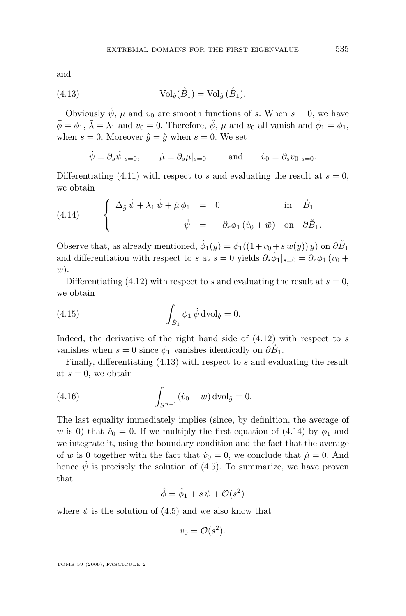and

(4.13) 
$$
\operatorname{Vol}_{\hat{g}}(\overset{\circ}{B}_1) = \operatorname{Vol}_{\hat{g}}(\overset{\circ}{B}_1).
$$

Obviously  $\hat{\psi}$ ,  $\mu$  and  $v_0$  are smooth functions of s. When  $s = 0$ , we have  $\bar{\phi} = \phi_1$ ,  $\bar{\lambda} = \lambda_1$  and  $v_0 = 0$ . Therefore,  $\hat{\psi}$ ,  $\mu$  and  $v_0$  all vanish and  $\hat{\phi}_1 = \phi_1$ , when  $s = 0$ . Moreover  $\hat{g} = \hat{g}$  when  $s = 0$ . We set

$$
\dot{\psi} = \partial_s \hat{\psi}|_{s=0},
$$
  $\dot{\mu} = \partial_s \mu|_{s=0},$  and  $\dot{v}_0 = \partial_s v_0|_{s=0}.$ 

Differentiating [\(4.11\)](#page-20-0) with respect to s and evaluating the result at  $s = 0$ , we obtain

(4.14) 
$$
\begin{cases} \Delta_{\mathring{g}} \dot{\psi} + \lambda_1 \dot{\psi} + \dot{\mu} \phi_1 = 0 & \text{in } \dot{B}_1 \\ \dot{\psi} = -\partial_r \phi_1 (\dot{v}_0 + \bar{w}) & \text{on } \partial \mathring{B}_1. \end{cases}
$$

Observe that, as already mentioned,  $\hat{\phi}_1(y) = \phi_1((1+v_0 + s \bar{w}(y)) y)$  on  $\partial \overset{\circ}{B_1}$ and differentiation with respect to s at  $s = 0$  yields  $\partial_s \hat{\phi}_1|_{s=0} = \partial_r \phi_1$  ( $\dot{v}_0$  +  $\bar{w}$ ).

Differentiating [\(4.12\)](#page-20-0) with respect to s and evaluating the result at  $s = 0$ , we obtain

(4.15) 
$$
\int_{\mathring{B}_1} \phi_1 \, \dot{\psi} \, \mathrm{dvol}_{\mathring{g}} = 0.
$$

Indeed, the derivative of the right hand side of  $(4.12)$  with respect to s vanishes when  $s = 0$  since  $\phi_1$  vanishes identically on  $\partial \tilde{B}_1$ .

Finally, differentiating  $(4.13)$  with respect to s and evaluating the result at  $s = 0$ , we obtain

(4.16) 
$$
\int_{S^{n-1}} (\dot{v}_0 + \bar{w}) \, \mathrm{dvol}_{\mathring{g}} = 0.
$$

The last equality immediately implies (since, by definition, the average of  $\bar{w}$  is 0) that  $\dot{v}_0 = 0$ . If we multiply the first equation of (4.14) by  $\phi_1$  and we integrate it, using the boundary condition and the fact that the average of  $\bar{w}$  is 0 together with the fact that  $\dot{v}_0 = 0$ , we conclude that  $\dot{\mu} = 0$ . And hence  $\dot{\psi}$  is precisely the solution of [\(4.5\)](#page-17-0). To summarize, we have proven that

$$
\hat{\phi} = \hat{\phi}_1 + s\,\psi + \mathcal{O}(s^2)
$$

where  $\psi$  is the solution of [\(4.5\)](#page-17-0) and we also know that

$$
v_0 = \mathcal{O}(s^2).
$$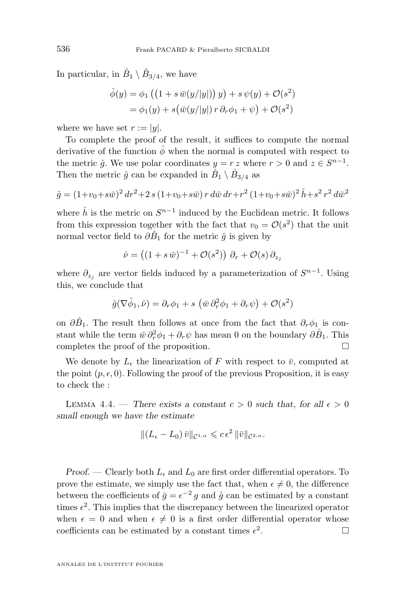<span id="page-22-0"></span>In particular, in  $\check{B}_1 \setminus \check{B}_{3/4}$ , we have

$$
\hat{\phi}(y) = \phi_1 \left( \left( 1 + s \,\overline{w}(y/|y|) \right) y \right) + s \,\psi(y) + \mathcal{O}(s^2)
$$

$$
= \phi_1(y) + s \left( \overline{w}(y/|y|) \, r \, \partial_r \phi_1 + \psi \right) + \mathcal{O}(s^2)
$$

where we have set  $r := |y|$ .

To complete the proof of the result, it suffices to compute the normal derivative of the function  $\hat{\phi}$  when the normal is computed with respect to the metric  $\hat{g}$ . We use polar coordinates  $y = r z$  where  $r > 0$  and  $z \in S^{n-1}$ . Then the metric  $\hat{g}$  can be expanded in  $\tilde{B}_1 \setminus \tilde{B}_{3/4}$  as

$$
\hat{g} = (1 + v_0 + s\bar{w})^2 dr^2 + 2 s (1 + v_0 + s\bar{w}) r d\bar{w} dr + r^2 (1 + v_0 + s\bar{w})^2 \hat{h} + s^2 r^2 d\bar{w}^2
$$

where  $\mathring{h}$  is the metric on  $S^{n-1}$  induced by the Euclidean metric. It follows from this expression together with the fact that  $v_0 = \mathcal{O}(s^2)$  that the unit normal vector field to  $\partial \tilde{B}_1$  for the metric  $\hat{g}$  is given by

$$
\hat{\nu} = ((1+s\,\bar{w})^{-1} + \mathcal{O}(s^2))\,\partial_r + \mathcal{O}(s)\,\partial_{z_j}
$$

where  $\partial_{z_j}$  are vector fields induced by a parameterization of  $S^{n-1}$ . Using this, we conclude that

$$
\hat{g}(\nabla \hat{\phi}_1, \hat{\nu}) = \partial_r \phi_1 + s \left( \bar{w} \partial_r^2 \phi_1 + \partial_r \psi \right) + \mathcal{O}(s^2)
$$

on  $\partial \hat{B}_1$ . The result then follows at once from the fact that  $\partial_r \phi_1$  is constant while the term  $\bar{w} \, \partial_r^2 \phi_1 + \partial_r \psi$  has mean 0 on the boundary  $\partial \dot{B}_1$ . This completes the proof of the proposition.

We denote by  $L_{\epsilon}$  the linearization of F with respect to  $\bar{v}$ , computed at the point  $(p, \epsilon, 0)$ . Following the proof of the previous Proposition, it is easy to check the :

LEMMA 4.4. — There exists a constant  $c > 0$  such that, for all  $\epsilon > 0$ *small enough we have the estimate*

$$
\|(L_{\epsilon}-L_0)\,\bar{v}\|_{\mathcal{C}^{1,\alpha}}\leqslant c\,\epsilon^2\,\|\bar{v}\|_{\mathcal{C}^{2,\alpha}}.
$$

*Proof.* — Clearly both  $L_{\epsilon}$  and  $L_0$  are first order differential operators. To prove the estimate, we simply use the fact that, when  $\epsilon \neq 0$ , the difference between the coefficients of  $\bar{g} = \epsilon^{-2} g$  and  $\dot{g}$  can be estimated by a constant times  $\epsilon^2$ . This implies that the discrepancy between the linearized operator when  $\epsilon = 0$  and when  $\epsilon \neq 0$  is a first order differential operator whose coefficients can be estimated by a constant times  $\epsilon^2$ .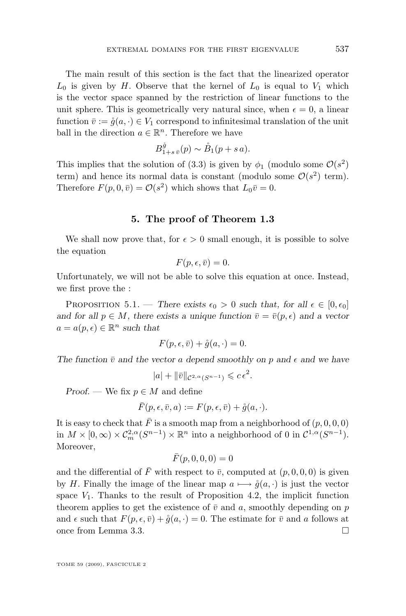The main result of this section is the fact that the linearized operator  $L_0$  is given by H. Observe that the kernel of  $L_0$  is equal to  $V_1$  which is the vector space spanned by the restriction of linear functions to the unit sphere. This is geometrically very natural since, when  $\epsilon = 0$ , a linear function  $\bar{v} := \dot{g}(a, \cdot) \in V_1$  correspond to infinitesimal translation of the unit ball in the direction  $a \in \mathbb{R}^n$ . Therefore we have

$$
B_{1+s\,\bar{v}}^{\mathring{g}}(p) \sim \mathring{B}_1(p+s\,a).
$$

This implies that the solution of [\(3.3\)](#page-7-0) is given by  $\phi_1$  (modulo some  $\mathcal{O}(s^2)$ term) and hence its normal data is constant (modulo some  $\mathcal{O}(s^2)$  term). Therefore  $F(p, 0, \bar{v}) = \mathcal{O}(s^2)$  which shows that  $L_0\bar{v} = 0$ .

#### **5. The proof of Theorem [1.3](#page-2-0)**

We shall now prove that, for  $\epsilon > 0$  small enough, it is possible to solve the equation

$$
F(p, \epsilon, \bar{v}) = 0.
$$

Unfortunately, we will not be able to solve this equation at once. Instead, we first prove the :

PROPOSITION 5.1. — *There exists*  $\epsilon_0 > 0$  *such that, for all*  $\epsilon \in [0, \epsilon_0]$ *and for all*  $p \in M$ , there exists a unique function  $\bar{v} = \bar{v}(p, \epsilon)$  and a vector  $a = a(p, \epsilon) \in \mathbb{R}^n$  such that

$$
F(p, \epsilon, \bar{v}) + \mathring{g}(a, \cdot) = 0.
$$

The function  $\bar{v}$  and the vector a depend smoothly on p and  $\epsilon$  and we have

$$
|a| + \|\bar{v}\|_{\mathcal{C}^{2,\alpha}(S^{n-1})} \leqslant c\epsilon^2.
$$

*Proof.* — We fix  $p \in M$  and define

$$
\bar{F}(p,\epsilon,\bar{v},a) := F(p,\epsilon,\bar{v}) + \mathring{g}(a,\cdot).
$$

It is easy to check that  $\bar{F}$  is a smooth map from a neighborhood of  $(p, 0, 0, 0)$ in  $M \times [0, \infty) \times C_m^{2,\alpha}(S^{n-1}) \times \mathbb{R}^n$  into a neighborhood of 0 in  $C^{1,\alpha}(S^{n-1})$ . Moreover,

$$
\bar{F}(p,0,0,0) = 0
$$

and the differential of  $\bar{F}$  with respect to  $\bar{v}$ , computed at  $(p, 0, 0, 0)$  is given by H. Finally the image of the linear map  $a \mapsto \mathring{g}(a, \cdot)$  is just the vector space  $V_1$ . Thanks to the result of Proposition [4.2,](#page-17-0) the implicit function theorem applies to get the existence of  $\bar{v}$  and a, smoothly depending on p and  $\epsilon$  such that  $F(p, \epsilon, \bar{v}) + \mathring{g}(a, \cdot) = 0$ . The estimate for  $\bar{v}$  and a follows at once from Lemma [3.3.](#page-11-0)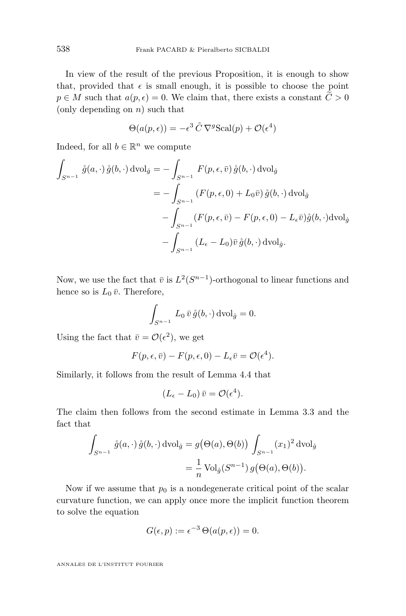In view of the result of the previous Proposition, it is enough to show that, provided that  $\epsilon$  is small enough, it is possible to choose the point  $p \in M$  such that  $a(p, \epsilon) = 0$ . We claim that, there exists a constant  $\widetilde{C} > 0$ (only depending on  $n$ ) such that

$$
\Theta(a(p,\epsilon)) = -\epsilon^3 \tilde{C} \nabla^g \text{Scal}(p) + \mathcal{O}(\epsilon^4)
$$

Indeed, for all  $b \in \mathbb{R}^n$  we compute

$$
\int_{S^{n-1}} \mathring{g}(a, \cdot) \mathring{g}(b, \cdot) \, d\text{vol}_{\mathring{g}} = -\int_{S^{n-1}} F(p, \epsilon, \bar{v}) \, \mathring{g}(b, \cdot) \, d\text{vol}_{\mathring{g}}
$$
\n
$$
= -\int_{S^{n-1}} (F(p, \epsilon, 0) + L_0 \bar{v}) \, \mathring{g}(b, \cdot) \, d\text{vol}_{\mathring{g}}
$$
\n
$$
- \int_{S^{n-1}} (F(p, \epsilon, \bar{v}) - F(p, \epsilon, 0) - L_{\epsilon} \bar{v}) \mathring{g}(b, \cdot) \, d\text{vol}_{\mathring{g}}
$$
\n
$$
- \int_{S^{n-1}} (L_{\epsilon} - L_0) \bar{v} \, \mathring{g}(b, \cdot) \, d\text{vol}_{\mathring{g}}.
$$

Now, we use the fact that  $\bar{v}$  is  $L^2(S^{n-1})$ -orthogonal to linear functions and hence so is  $L_0 \bar{v}$ . Therefore,

$$
\int_{S^{n-1}} L_0 \,\bar{v}\,\mathring{g}(b,\cdot)\,\mathrm{dvol}_{\mathring{g}} = 0.
$$

Using the fact that  $\bar{v} = \mathcal{O}(\epsilon^2)$ , we get

$$
F(p, \epsilon, \bar{v}) - F(p, \epsilon, 0) - L_{\epsilon} \bar{v} = \mathcal{O}(\epsilon^4).
$$

Similarly, it follows from the result of Lemma [4.4](#page-22-0) that

$$
(L_{\epsilon}-L_0)\,\bar{v}=\mathcal{O}(\epsilon^4).
$$

The claim then follows from the second estimate in Lemma [3.3](#page-11-0) and the fact that

$$
\int_{S^{n-1}} \mathring{g}(a, \cdot) \mathring{g}(b, \cdot) \, d\text{vol}_{\mathring{g}} = g(\Theta(a), \Theta(b)) \int_{S^{n-1}} (x_1)^2 \, d\text{vol}_{\mathring{g}}
$$

$$
= \frac{1}{n} \text{Vol}_{\mathring{g}}(S^{n-1}) g(\Theta(a), \Theta(b)).
$$

Now if we assume that  $p_0$  is a nondegenerate critical point of the scalar curvature function, we can apply once more the implicit function theorem to solve the equation

$$
G(\epsilon, p) := \epsilon^{-3} \Theta(a(p, \epsilon)) = 0.
$$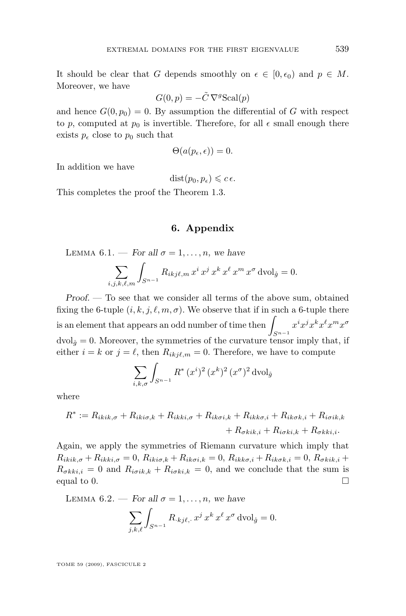It should be clear that G depends smoothly on  $\epsilon \in [0, \epsilon_0)$  and  $p \in M$ . Moreover, we have

$$
G(0, p) = -\tilde{C} \nabla^g \text{Scal}(p)
$$

and hence  $G(0, p_0) = 0$ . By assumption the differential of G with respect to p, computed at  $p_0$  is invertible. Therefore, for all  $\epsilon$  small enough there exists  $p_{\epsilon}$  close to  $p_0$  such that

$$
\Theta(a(p_{\epsilon},\epsilon))=0.
$$

In addition we have

 $dist(p_0, p_{\epsilon}) \leqslant c \epsilon$ .

This completes the proof the Theorem [1.3.](#page-2-0)

#### **6. Appendix**

LEMMA 6.1. — *For all*  $\sigma = 1, \ldots, n$ , we have

$$
\sum_{i,j,k,\ell,m} \int_{S^{n-1}} R_{ikj\ell,m} x^i x^j x^k x^{\ell} x^m x^{\sigma} d\mathrm{vol}_{\mathring{g}} = 0.
$$

*Proof. —* To see that we consider all terms of the above sum, obtained fixing the 6-tuple  $(i, k, j, \ell, m, \sigma)$ . We observe that if in such a 6-tuple there is an element that appears an odd number of time then  $\overline{\phantom{a}}$  $S^{n-1}$  $x^i x^j x^k x^\ell x^m x^\sigma$  $dvol_{\hat{q}} = 0$ . Moreover, the symmetries of the curvature tensor imply that, if either  $i = k$  or  $j = \ell$ , then  $R_{ikj\ell,m} = 0$ . Therefore, we have to compute

$$
\sum_{i,k,\sigma} \int_{S^{n-1}} R^*(x^i)^2 (x^k)^2 (x^{\sigma})^2 d\mathrm{vol}_{\hat{g}}
$$

where

$$
R^* := R_{ikik,\sigma} + R_{iki\sigma,k} + R_{ikki,\sigma} + R_{ik\sigma i,k} + R_{ikk\sigma,i} + R_{ik\sigma k,i} + R_{i\sigma i k,k} + R_{\sigma k i,k} + R_{\sigma k k i,i}.
$$

Again, we apply the symmetries of Riemann curvature which imply that  $R_{ikik,\sigma} + R_{ikki,\sigma} = 0$ ,  $R_{iki\sigma,k} + R_{ik\sigma i,k} = 0$ ,  $R_{ikk\sigma,i} + R_{ik\sigma k,i} = 0$ ,  $R_{\sigma kik,i}$  +  $R_{\sigma k k i,i} = 0$  and  $R_{i\sigma i k,k} + R_{i\sigma k i,k} = 0$ , and we conclude that the sum is equal to 0.  $\Box$ 

LEMMA 6.2. — *For all*  $\sigma = 1, \ldots, n$ , we have

$$
\sum_{j,k,\ell} \int_{S^{n-1}} R_{\cdot kj\ell,\cdot} x^j x^k x^\ell x^\sigma \operatorname{dvol}_{\mathring{g}} = 0.
$$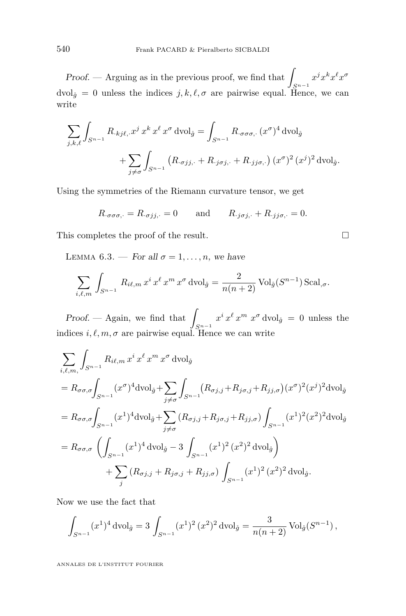*Proof.* — Arguing as in the previous proof, we find that  $S^{n-1}$  $x^j x^k x^\ell x^\sigma$  $dvol_{\hat{g}} = 0$  unless the indices  $j, k, \ell, \sigma$  are pairwise equal. Hence, we can write

$$
\sum_{j,k,\ell} \int_{S^{n-1}} R_{\cdot kj\ell,\cdot} x^j x^k x^\ell x^\sigma \operatorname{dvol}_{\tilde{g}} = \int_{S^{n-1}} R_{\cdot \sigma \sigma \sigma,\cdot} (x^\sigma)^4 \operatorname{dvol}_{\tilde{g}} + \sum_{j \neq \sigma} \int_{S^{n-1}} (R_{\cdot \sigma jj,\cdot} + R_{\cdot j \sigma j,\cdot} + R_{\cdot jj\sigma,\cdot}) (x^\sigma)^2 (x^j)^2 \operatorname{dvol}_{\tilde{g}}.
$$

Using the symmetries of the Riemann curvature tensor, we get

$$
R_{\cdot \sigma \sigma \sigma, \cdot} = R_{\cdot \sigma jj, \cdot} = 0
$$
 and  $R_{\cdot j \sigma j, \cdot} + R_{\cdot j j \sigma, \cdot} = 0.$ 

This completes the proof of the result.

LEMMA 6.3. — *For all*  $\sigma = 1, \ldots, n$ , we have

$$
\sum_{i,\ell,m} \int_{S^{n-1}} R_{i\ell,m} x^i x^{\ell} x^m x^{\sigma} d\mathrm{vol}_{\mathring{g}} = \frac{2}{n(n+2)} \mathrm{Vol}_{\mathring{g}}(S^{n-1}) \mathrm{Scal}_{,\sigma}.
$$

*Proof.* — Again, we find that  $S^{n-1}$  $x^{i} x^{\ell} x^{m} x^{\sigma}$  dvol<sub> $\hat{g} = 0$  unless the</sub> indices  $i, \ell, m, \sigma$  are pairwise equal. Hence we can write

$$
\sum_{i,\ell,m} \int_{S^{n-1}} R_{i\ell,m} x^i x^{\ell} x^m x^{\sigma} d\text{vol}_{\mathring{g}}
$$
  
\n=  $R_{\sigma\sigma,\sigma} \int_{S^{n-1}} (x^{\sigma})^4 d\text{vol}_{\mathring{g}} + \sum_{j \neq \sigma} \int_{S^{n-1}} (R_{\sigma j,j} + R_{j\sigma,j} + R_{jj,\sigma}) (x^{\sigma})^2 (x^j)^2 d\text{vol}_{\mathring{g}}$   
\n=  $R_{\sigma\sigma,\sigma} \int_{S^{n-1}} (x^1)^4 d\text{vol}_{\mathring{g}} + \sum_{j \neq \sigma} (R_{\sigma j,j} + R_{j\sigma,j} + R_{jj,\sigma}) \int_{S^{n-1}} (x^1)^2 (x^2)^2 d\text{vol}_{\mathring{g}}$   
\n=  $R_{\sigma\sigma,\sigma} \left( \int_{S^{n-1}} (x^1)^4 d\text{vol}_{\mathring{g}} - 3 \int_{S^{n-1}} (x^1)^2 (x^2)^2 d\text{vol}_{\mathring{g}} \right)$   
\n+  $\sum_j (R_{\sigma j,j} + R_{j\sigma,j} + R_{jj,\sigma}) \int_{S^{n-1}} (x^1)^2 (x^2)^2 d\text{vol}_{\mathring{g}}.$ 

Now we use the fact that

$$
\int_{S^{n-1}} (x^1)^4 \, \mathrm{dvol}_{\mathring{g}} = 3 \int_{S^{n-1}} (x^1)^2 \, (x^2)^2 \, \mathrm{dvol}_{\mathring{g}} = \frac{3}{n(n+2)} \, \mathrm{Vol}_{\mathring{g}}(S^{n-1}),
$$

$$
\Box
$$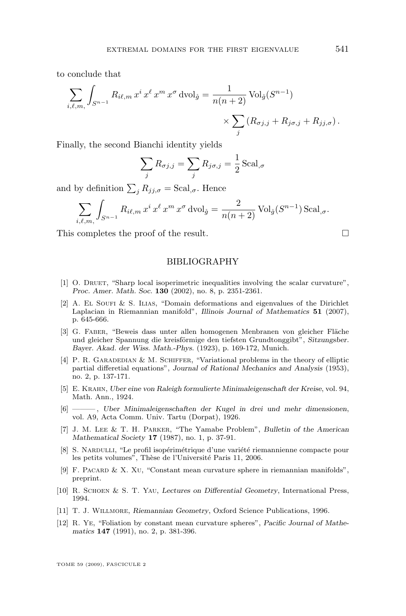<span id="page-27-0"></span>to conclude that

$$
\sum_{i,\ell,m,\atop j,\ell,m,\atop j} \int_{S^{n-1}} R_{i\ell,m} x^i x^{\ell} x^m x^{\sigma} d\text{vol}_{\mathring{g}} = \frac{1}{n(n+2)} \text{Vol}_{\mathring{g}}(S^{n-1}) \times \sum_j \left( R_{\sigma j,j} + R_{j\sigma,j} + R_{jj,\sigma} \right).
$$

Finally, the second Bianchi identity yields

$$
\sum_{j} R_{\sigma j,j} = \sum_{j} R_{j\sigma,j} = \frac{1}{2} \operatorname{Scal}_{,\sigma}
$$

and by definition  $\sum_j R_{jj,\sigma} = \text{Scal}_{,\sigma}$ . Hence

$$
\sum_{i,\ell,m,}\int_{S^{n-1}}R_{i\ell,m}x^i x^{\ell} x^m x^{\sigma} d\mathrm{vol}_{\mathring{g}} = \frac{2}{n(n+2)}\mathrm{Vol}_{\mathring{g}}(S^{n-1})\mathrm{Scal}_{,\sigma}.
$$

This completes the proof of the result.

BIBLIOGRAPHY

- [1] O. Druet, "Sharp local isoperimetric inequalities involving the scalar curvature", *Proc. Amer. Math. Soc.* **130** (2002), no. 8, p. 2351-2361.
- [2] A. El Soufi & S. Ilias, "Domain deformations and eigenvalues of the Dirichlet Laplacian in Riemannian manifold", *Illinois Journal of Mathematics* **51** (2007), p. 645-666.
- [3] G. Faber, "Beweis dass unter allen homogenen Menbranen von gleicher Fläche und gleicher Spannung die kreisförmige den tiefsten Grundtonggibt", *Sitzungsber. Bayer. Akad. der Wiss. Math.-Phys.* (1923), p. 169-172, Munich.
- [4] P. R. GARADEDIAN & M. SCHIFFER, "Variational problems in the theory of elliptic partial differetial equations", *Journal of Rational Mechanics and Analysis* (1953), no. 2, p. 137-171.
- [5] E. Krahn, *Uber eine von Raleigh formulierte Minimaleigenschaft der Kreise*, vol. 94, Math. Ann., 1924.
- [6] ——— , *Uber Minimaleigenschaften der Kugel in drei und mehr dimensionen*, vol. A9, Acta Comm. Univ. Tartu (Dorpat), 1926.
- [7] J. M. Lee & T. H. Parker, "The Yamabe Problem", *Bulletin of the American Mathematical Society* **17** (1987), no. 1, p. 37-91.
- [8] S. Nardulli, "Le profil isopérimétrique d'une variété riemannienne compacte pour les petits volumes", Thèse de l'Université Paris 11, 2006.
- [9] F. Pacard & X. Xu, "Constant mean curvature sphere in riemannian manifolds", preprint.
- [10] R. Schoen & S. T. Yau, *Lectures on Differential Geometry*, International Press, 1994.
- [11] T. J. Willmore, *Riemannian Geometry*, Oxford Science Publications, 1996.
- [12] R. Ye, "Foliation by constant mean curvature spheres", *Pacific Journal of Mathematics* **147** (1991), no. 2, p. 381-396.